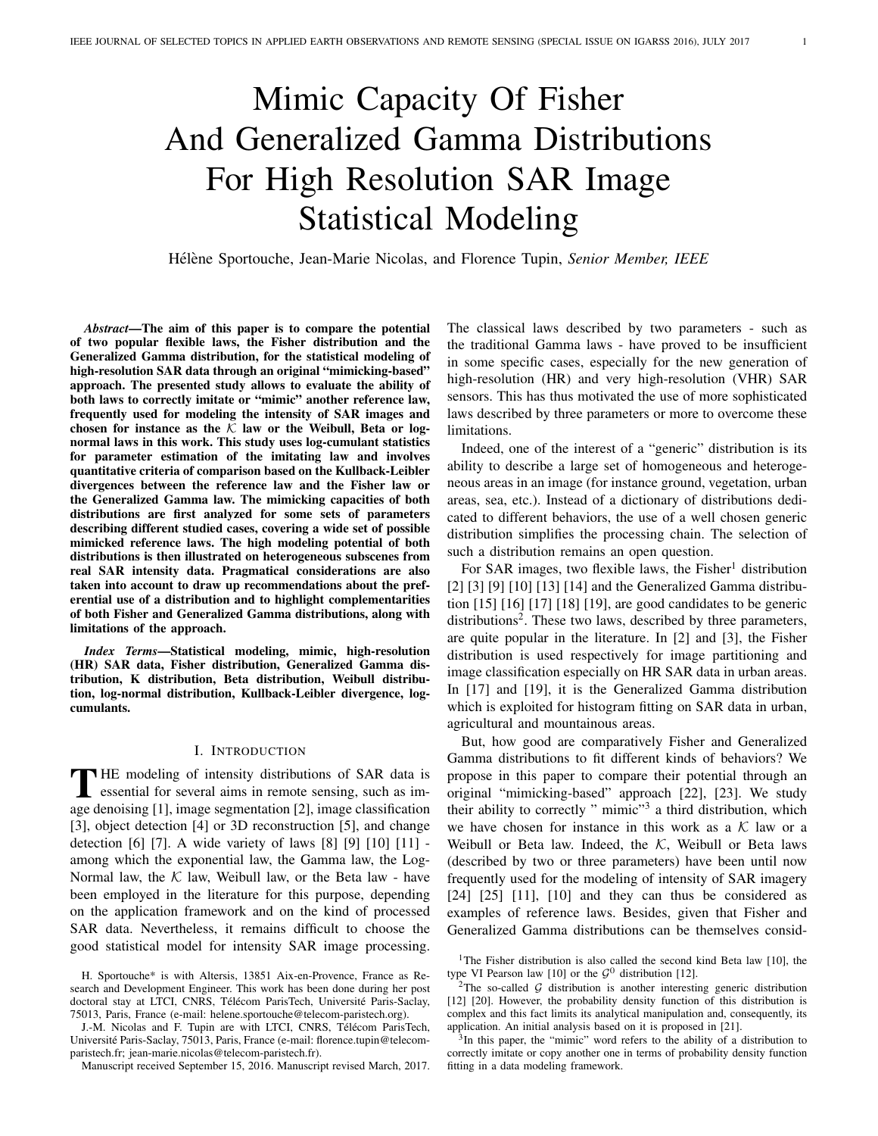# Mimic Capacity Of Fisher And Generalized Gamma Distributions For High Resolution SAR Image Statistical Modeling

Hélène Sportouche, Jean-Marie Nicolas, and Florence Tupin, Senior Member, IEEE

*Abstract*—The aim of this paper is to compare the potential of two popular flexible laws, the Fisher distribution and the Generalized Gamma distribution, for the statistical modeling of high-resolution SAR data through an original "mimicking-based" approach. The presented study allows to evaluate the ability of both laws to correctly imitate or "mimic" another reference law, frequently used for modeling the intensity of SAR images and chosen for instance as the  $K$  law or the Weibull, Beta or lognormal laws in this work. This study uses log-cumulant statistics for parameter estimation of the imitating law and involves quantitative criteria of comparison based on the Kullback-Leibler divergences between the reference law and the Fisher law or the Generalized Gamma law. The mimicking capacities of both distributions are first analyzed for some sets of parameters describing different studied cases, covering a wide set of possible mimicked reference laws. The high modeling potential of both distributions is then illustrated on heterogeneous subscenes from real SAR intensity data. Pragmatical considerations are also taken into account to draw up recommendations about the preferential use of a distribution and to highlight complementarities of both Fisher and Generalized Gamma distributions, along with limitations of the approach.

*Index Terms*—Statistical modeling, mimic, high-resolution (HR) SAR data, Fisher distribution, Generalized Gamma distribution, K distribution, Beta distribution, Weibull distribution, log-normal distribution, Kullback-Leibler divergence, logcumulants.

#### I. INTRODUCTION

THE modeling of intensity distributions of SAR data is<br>essential for several aims in remote sensing, such as im-<br>and densities [1] interesting [2] interesting interesting<br>intervalsed  $\blacksquare$  HE modeling of intensity distributions of SAR data is age denoising [1], image segmentation [2], image classification [3], object detection [4] or 3D reconstruction [5], and change detection [6] [7]. A wide variety of laws [8] [9] [10] [11] among which the exponential law, the Gamma law, the Log-Normal law, the  $K$  law, Weibull law, or the Beta law - have been employed in the literature for this purpose, depending on the application framework and on the kind of processed SAR data. Nevertheless, it remains difficult to choose the good statistical model for intensity SAR image processing.

Manuscript received September 15, 2016. Manuscript revised March, 2017.

The classical laws described by two parameters - such as the traditional Gamma laws - have proved to be insufficient in some specific cases, especially for the new generation of high-resolution (HR) and very high-resolution (VHR) SAR sensors. This has thus motivated the use of more sophisticated laws described by three parameters or more to overcome these limitations.

Indeed, one of the interest of a "generic" distribution is its ability to describe a large set of homogeneous and heterogeneous areas in an image (for instance ground, vegetation, urban areas, sea, etc.). Instead of a dictionary of distributions dedicated to different behaviors, the use of a well chosen generic distribution simplifies the processing chain. The selection of such a distribution remains an open question.

For SAR images, two flexible laws, the Fisher<sup>1</sup> distribution [2] [3] [9] [10] [13] [14] and the Generalized Gamma distribution [15] [16] [17] [18] [19], are good candidates to be generic distributions<sup>2</sup>. These two laws, described by three parameters, are quite popular in the literature. In [2] and [3], the Fisher distribution is used respectively for image partitioning and image classification especially on HR SAR data in urban areas. In [17] and [19], it is the Generalized Gamma distribution which is exploited for histogram fitting on SAR data in urban, agricultural and mountainous areas.

But, how good are comparatively Fisher and Generalized Gamma distributions to fit different kinds of behaviors? We propose in this paper to compare their potential through an original "mimicking-based" approach [22], [23]. We study their ability to correctly " mimic"<sup>3</sup> a third distribution, which we have chosen for instance in this work as a  $K$  law or a Weibull or Beta law. Indeed, the  $K$ , Weibull or Beta laws (described by two or three parameters) have been until now frequently used for the modeling of intensity of SAR imagery  $[24]$   $[25]$   $[11]$ ,  $[10]$  and they can thus be considered as examples of reference laws. Besides, given that Fisher and Generalized Gamma distributions can be themselves consid-

H. Sportouche\* is with Altersis, 13851 Aix-en-Provence, France as Research and Development Engineer. This work has been done during her post doctoral stay at LTCI, CNRS, Télécom ParisTech, Université Paris-Saclay, 75013, Paris, France (e-mail: helene.sportouche@telecom-paristech.org).

J.-M. Nicolas and F. Tupin are with LTCI, CNRS, Télécom ParisTech, Université Paris-Saclay, 75013, Paris, France (e-mail: florence.tupin@telecomparistech.fr; jean-marie.nicolas@telecom-paristech.fr).

<sup>&</sup>lt;sup>1</sup>The Fisher distribution is also called the second kind Beta law [10], the type VI Pearson law [10] or the  $G^0$  distribution [12].

<sup>&</sup>lt;sup>2</sup>The so-called  $G$  distribution is another interesting generic distribution [12] [20]. However, the probability density function of this distribution is complex and this fact limits its analytical manipulation and, consequently, its application. An initial analysis based on it is proposed in [21].

<sup>&</sup>lt;sup>3</sup>In this paper, the "mimic" word refers to the ability of a distribution to correctly imitate or copy another one in terms of probability density function fitting in a data modeling framework.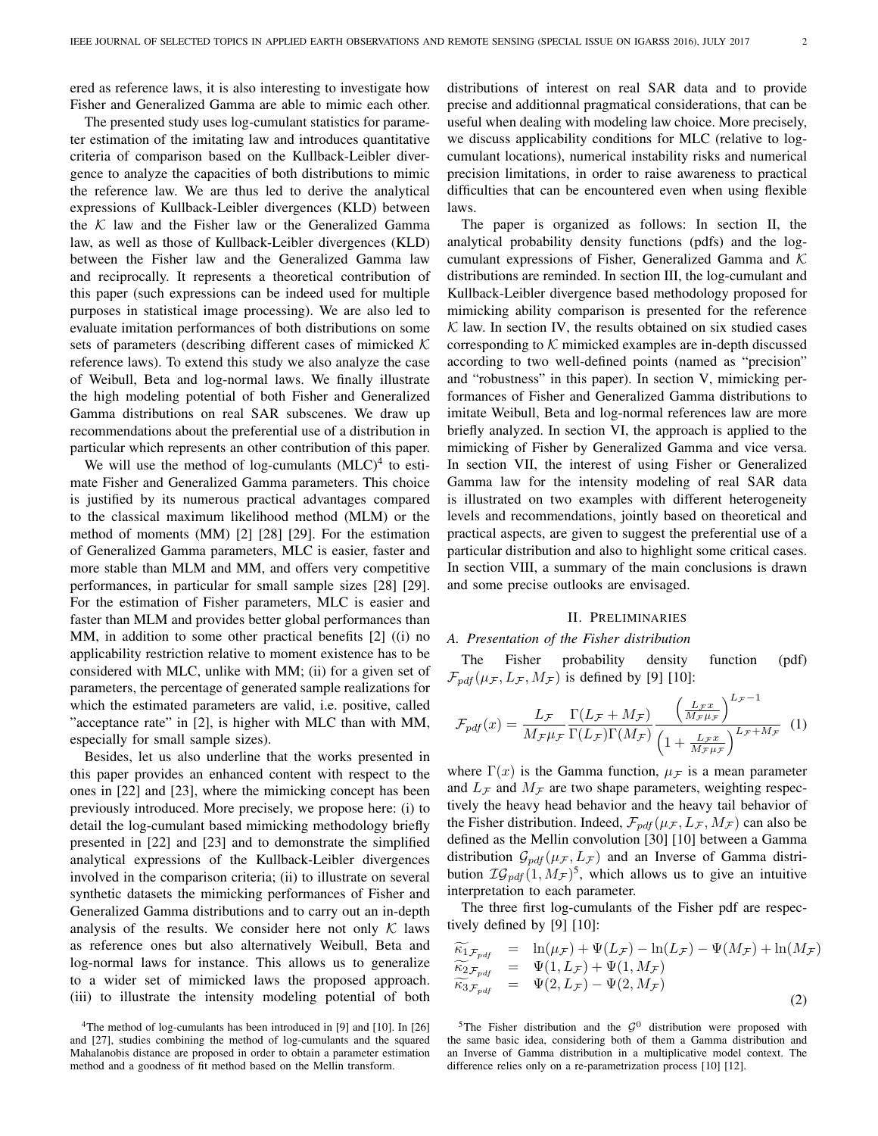ered as reference laws, it is also interesting to investigate how Fisher and Generalized Gamma are able to mimic each other.

The presented study uses log-cumulant statistics for parameter estimation of the imitating law and introduces quantitative criteria of comparison based on the Kullback-Leibler divergence to analyze the capacities of both distributions to mimic the reference law. We are thus led to derive the analytical expressions of Kullback-Leibler divergences (KLD) between the  $K$  law and the Fisher law or the Generalized Gamma law, as well as those of Kullback-Leibler divergences (KLD) between the Fisher law and the Generalized Gamma law and reciprocally. It represents a theoretical contribution of this paper (such expressions can be indeed used for multiple purposes in statistical image processing). We are also led to evaluate imitation performances of both distributions on some sets of parameters (describing different cases of mimicked  $K$ reference laws). To extend this study we also analyze the case of Weibull, Beta and log-normal laws. We finally illustrate the high modeling potential of both Fisher and Generalized Gamma distributions on real SAR subscenes. We draw up recommendations about the preferential use of a distribution in particular which represents an other contribution of this paper.

We will use the method of log-cumulants  $(MLC)^4$  to estimate Fisher and Generalized Gamma parameters. This choice is justified by its numerous practical advantages compared to the classical maximum likelihood method (MLM) or the method of moments (MM) [2] [28] [29]. For the estimation of Generalized Gamma parameters, MLC is easier, faster and more stable than MLM and MM, and offers very competitive performances, in particular for small sample sizes [28] [29]. For the estimation of Fisher parameters, MLC is easier and faster than MLM and provides better global performances than MM, in addition to some other practical benefits [2] ((i) no applicability restriction relative to moment existence has to be considered with MLC, unlike with MM; (ii) for a given set of parameters, the percentage of generated sample realizations for which the estimated parameters are valid, i.e. positive, called "acceptance rate" in [2], is higher with MLC than with MM, especially for small sample sizes).

Besides, let us also underline that the works presented in this paper provides an enhanced content with respect to the ones in [22] and [23], where the mimicking concept has been previously introduced. More precisely, we propose here: (i) to detail the log-cumulant based mimicking methodology briefly presented in [22] and [23] and to demonstrate the simplified analytical expressions of the Kullback-Leibler divergences involved in the comparison criteria; (ii) to illustrate on several synthetic datasets the mimicking performances of Fisher and Generalized Gamma distributions and to carry out an in-depth analysis of the results. We consider here not only  $K$  laws as reference ones but also alternatively Weibull, Beta and log-normal laws for instance. This allows us to generalize to a wider set of mimicked laws the proposed approach. (iii) to illustrate the intensity modeling potential of both

<sup>4</sup>The method of log-cumulants has been introduced in [9] and [10]. In [26] and [27], studies combining the method of log-cumulants and the squared Mahalanobis distance are proposed in order to obtain a parameter estimation method and a goodness of fit method based on the Mellin transform.

distributions of interest on real SAR data and to provide precise and additionnal pragmatical considerations, that can be useful when dealing with modeling law choice. More precisely, we discuss applicability conditions for MLC (relative to logcumulant locations), numerical instability risks and numerical precision limitations, in order to raise awareness to practical difficulties that can be encountered even when using flexible laws.

The paper is organized as follows: In section II, the analytical probability density functions (pdfs) and the logcumulant expressions of Fisher, Generalized Gamma and  $K$ distributions are reminded. In section III, the log-cumulant and Kullback-Leibler divergence based methodology proposed for mimicking ability comparison is presented for the reference  $K$  law. In section IV, the results obtained on six studied cases corresponding to  $K$  mimicked examples are in-depth discussed according to two well-defined points (named as "precision" and "robustness" in this paper). In section V, mimicking performances of Fisher and Generalized Gamma distributions to imitate Weibull, Beta and log-normal references law are more briefly analyzed. In section VI, the approach is applied to the mimicking of Fisher by Generalized Gamma and vice versa. In section VII, the interest of using Fisher or Generalized Gamma law for the intensity modeling of real SAR data is illustrated on two examples with different heterogeneity levels and recommendations, jointly based on theoretical and practical aspects, are given to suggest the preferential use of a particular distribution and also to highlight some critical cases. In section VIII, a summary of the main conclusions is drawn and some precise outlooks are envisaged.

## II. PRELIMINARIES

## *A. Presentation of the Fisher distribution*

The Fisher probability density function (pdf)  $\mathcal{F}_{pdf}(\mu_{\mathcal{F}}, L_{\mathcal{F}}, M_{\mathcal{F}})$  is defined by [9] [10]:

$$
\mathcal{F}_{pdf}(x) = \frac{L_{\mathcal{F}}}{M_{\mathcal{F}}\mu_{\mathcal{F}}} \frac{\Gamma(L_{\mathcal{F}} + M_{\mathcal{F}})}{\Gamma(L_{\mathcal{F}})\Gamma(M_{\mathcal{F}})} \frac{\left(\frac{L_{\mathcal{F}}x}{M_{\mathcal{F}}\mu_{\mathcal{F}}}\right)^{L_{\mathcal{F}}-1}}{\left(1 + \frac{L_{\mathcal{F}}x}{M_{\mathcal{F}}\mu_{\mathcal{F}}}\right)^{L_{\mathcal{F}}+M_{\mathcal{F}}}}
$$
(1)

where  $\Gamma(x)$  is the Gamma function,  $\mu_{\mathcal{F}}$  is a mean parameter and  $L_{\mathcal{F}}$  and  $M_{\mathcal{F}}$  are two shape parameters, weighting respectively the heavy head behavior and the heavy tail behavior of the Fisher distribution. Indeed,  $\mathcal{F}_{pdf}(\mu_{\mathcal{F}}, L_{\mathcal{F}}, M_{\mathcal{F}})$  can also be defined as the Mellin convolution [30] [10] between a Gamma distribution  $\mathcal{G}_{pdf}(\mu_{\mathcal{F}}, L_{\mathcal{F}})$  and an Inverse of Gamma distribution  $\mathcal{IG}_{pdf}(1, M_{\mathcal{F}})^5$ , which allows us to give an intuitive interpretation to each parameter.

The three first log-cumulants of the Fisher pdf are respectively defined by [9] [10]:

$$
\begin{array}{rcl}\n\widetilde{\kappa_{1}}_{\mathcal{F}_{pdf}} & = & \ln(\mu_{\mathcal{F}}) + \Psi(L_{\mathcal{F}}) - \ln(L_{\mathcal{F}}) - \Psi(M_{\mathcal{F}}) + \ln(M_{\mathcal{F}}) \\
\widetilde{\kappa_{2}}_{\mathcal{F}_{pdf}} & = & \Psi(1, L_{\mathcal{F}}) + \Psi(1, M_{\mathcal{F}}) \\
\widetilde{\kappa_{3}}_{\mathcal{F}_{pdf}} & = & \Psi(2, L_{\mathcal{F}}) - \Psi(2, M_{\mathcal{F}})\n\end{array} \tag{2}
$$

<sup>5</sup>The Fisher distribution and the  $G^0$  distribution were proposed with the same basic idea, considering both of them a Gamma distribution and an Inverse of Gamma distribution in a multiplicative model context. The difference relies only on a re-parametrization process [10] [12].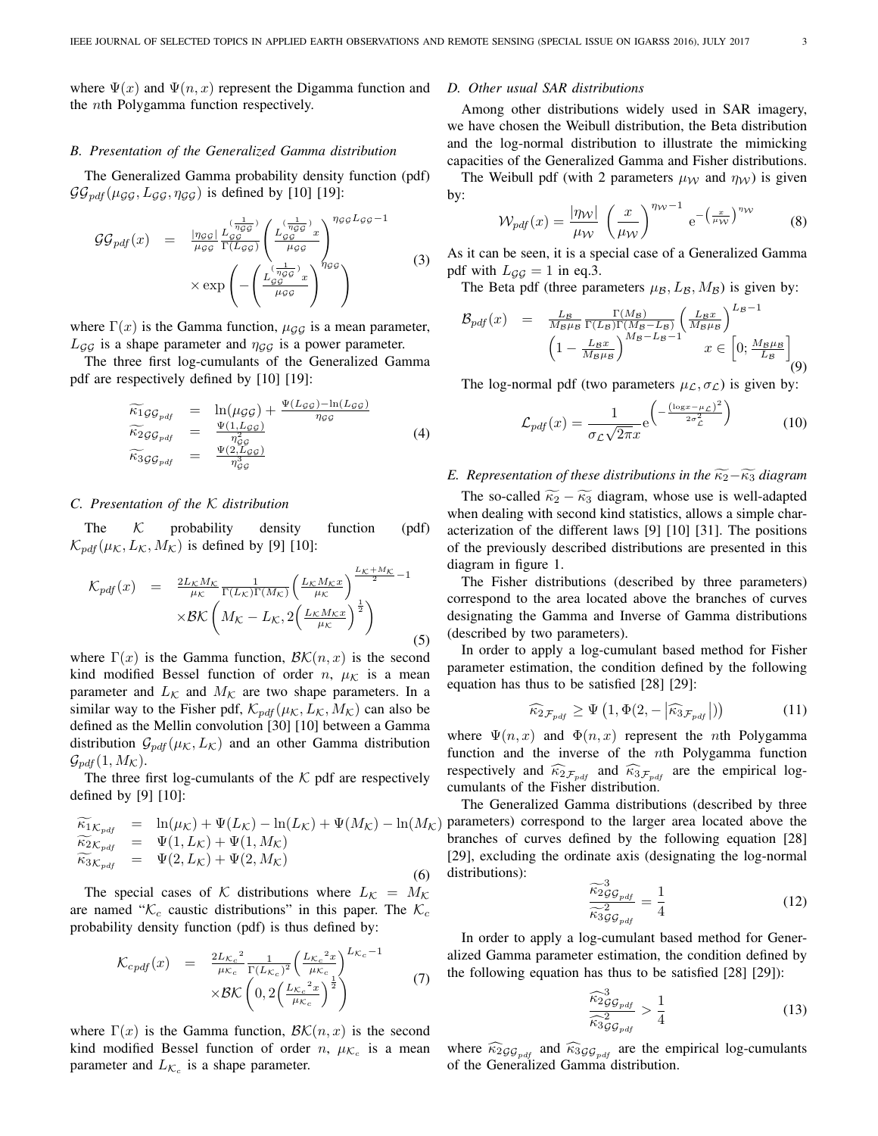where  $\Psi(x)$  and  $\Psi(n, x)$  represent the Digamma function and the nth Polygamma function respectively.

#### *B. Presentation of the Generalized Gamma distribution*

The Generalized Gamma probability density function (pdf)  $\mathcal{GG}_{pdf}(\mu_{GG}, L_{GG}, \eta_{GG})$  is defined by [10] [19]:

$$
GG_{pdf}(x) = \frac{|\eta_{GG}|}{\mu_{GG}} \frac{L_{GG}^{(\frac{1}{\eta_{GG}})} }{\Gamma(L_{GG})} \left( \frac{L_{GG}^{(\frac{1}{\eta_{GG}})} x}{\mu_{GG}} \right)^{\eta_{GG} L_{GG} - 1}
$$
  
 
$$
\times \exp\left(-\left(\frac{L_{GG}^{(\frac{1}{\eta_{GG}})} x}{\mu_{GG}}\right)^{\eta_{GG}}\right)
$$
 (3)

where  $\Gamma(x)$  is the Gamma function,  $\mu_{GG}$  is a mean parameter,  $L_{GG}$  is a shape parameter and  $\eta_{GG}$  is a power parameter.

The three first log-cumulants of the Generalized Gamma pdf are respectively defined by [10] [19]:

$$
\begin{array}{rcl}\n\widetilde{\kappa_1} g \mathcal{G}_{pdf} & = & \ln(\mu g \mathcal{G}) + \frac{\Psi(L_{\mathcal{G}\mathcal{G}}) - \ln(L_{\mathcal{G}\mathcal{G}})}{\eta_{\mathcal{G}\mathcal{G}}} \\
\widetilde{\kappa_2} g \mathcal{G}_{pdf} & = & \frac{\Psi(1, L_{\mathcal{G}\mathcal{G}})}{\eta_{\mathcal{G}\mathcal{G}}^2} \\
\widetilde{\kappa_3} g \mathcal{G}_{pdf} & = & \frac{\Psi(2, L_{\mathcal{G}\mathcal{G}})}{\eta_{\mathcal{G}\mathcal{G}}^2}\n\end{array}\n\tag{4}
$$

#### *C. Presentation of the* K *distribution*

The  $K$  probability density function (pdf)  $\mathcal{K}_{ndf}(\mu_{\mathcal{K}}, L_{\mathcal{K}}, M_{\mathcal{K}})$  is defined by [9] [10]:

$$
\mathcal{K}_{pdf}(x) = \frac{2L_K M_K}{\mu_K} \frac{1}{\Gamma(L_K)\Gamma(M_K)} \left(\frac{L_K M_K x}{\mu_K}\right)^{\frac{L_K + M_K}{2} - 1}
$$

$$
\times \mathcal{BK}\left(M_K - L_K, 2\left(\frac{L_K M_K x}{\mu_K}\right)^{\frac{1}{2}}\right)
$$
(5)

where  $\Gamma(x)$  is the Gamma function,  $\mathcal{B}\mathcal{K}(n,x)$  is the second kind modified Bessel function of order n,  $\mu_K$  is a mean parameter and  $L_{\mathcal{K}}$  and  $M_{\mathcal{K}}$  are two shape parameters. In a similar way to the Fisher pdf,  $\mathcal{K}_{pdf}(\mu_{\mathcal{K}}, L_{\mathcal{K}}, M_{\mathcal{K}})$  can also be defined as the Mellin convolution [30] [10] between a Gamma distribution  $\mathcal{G}_{pdf}(\mu_{\mathcal{K}}, L_{\mathcal{K}})$  and an other Gamma distribution  $\mathcal{G}_{pdf}(1, M_{\mathcal{K}}).$ 

The three first log-cumulants of the  $K$  pdf are respectively defined by [9] [10]:

$$
\begin{array}{rcl}\n\widetilde{\kappa_{1}}_{K_{pdf}} & = & \ln(\mu_{K}) + \Psi(L_{K}) - \ln(L_{K}) + \Psi(M_{K}) - \ln(M_{K}) \\
\widetilde{\kappa_{2}}_{K_{pdf}} & = & \Psi(1, L_{K}) + \Psi(1, M_{K}) \\
\widetilde{\kappa_{3}}_{K_{pdf}} & = & \Psi(2, L_{K}) + \Psi(2, M_{K})\n\end{array} \tag{6}
$$

The special cases of K distributions where  $L_{\mathcal{K}} = M_{\mathcal{K}}$ are named " $K_c$  caustic distributions" in this paper. The  $K_c$ probability density function (pdf) is thus defined by:

$$
\mathcal{K}_{cpdf}(x) = \frac{2L_{\mathcal{K}_c}^2}{\mu_{\mathcal{K}_c}^2} \frac{1}{\Gamma(L_{\mathcal{K}_c})^2} \left(\frac{L_{\mathcal{K}_c}^2 x}{\mu_{\mathcal{K}_c}^2}\right)^{L_{\mathcal{K}_c}-1} \times \mathcal{BK}\left(0, 2\left(\frac{L_{\mathcal{K}_c}^2 x}{\mu_{\mathcal{K}_c}}\right)^{\frac{1}{2}}\right)
$$
 (7)

where  $\Gamma(x)$  is the Gamma function,  $\mathcal{B}\mathcal{K}(n,x)$  is the second kind modified Bessel function of order n,  $\mu_{\mathcal{K}_c}$  is a mean parameter and  $L_{\mathcal{K}_c}$  is a shape parameter.

## *D. Other usual SAR distributions*

Among other distributions widely used in SAR imagery, we have chosen the Weibull distribution, the Beta distribution and the log-normal distribution to illustrate the mimicking capacities of the Generalized Gamma and Fisher distributions.

The Weibull pdf (with 2 parameters  $\mu_{\mathcal{W}}$  and  $\eta_{\mathcal{W}}$ ) is given by:

$$
\mathcal{W}_{pdf}(x) = \frac{|\eta_{\mathcal{W}}|}{\mu_{\mathcal{W}}} \left(\frac{x}{\mu_{\mathcal{W}}}\right)^{\eta_{\mathcal{W}}-1} e^{-\left(\frac{x}{\mu_{\mathcal{W}}}\right)^{\eta_{\mathcal{W}}}}
$$
(8)

As it can be seen, it is a special case of a Generalized Gamma pdf with  $L_{GG} = 1$  in eq.3.

The Beta pdf (three parameters  $\mu_B$ ,  $L_B$ ,  $M_B$ ) is given by:

$$
\mathcal{B}_{pdf}(x) = \frac{L_B}{M_B \mu_B} \frac{\Gamma(M_B)}{\Gamma(L_B)\Gamma(M_B - L_B)} \left(\frac{L_B x}{M_B \mu_B}\right)^{L_B - 1} \left(\frac{L_B x}{M_B \mu_B}\right)^{L_B - 1} \left(1 - \frac{L_B x}{M_B \mu_B}\right)^{M_B - L_B - 1} x \in \left[0, \frac{M_B \mu_B}{L_B}\right] \tag{9}
$$

The log-normal pdf (two parameters  $\mu_{\mathcal{L}}, \sigma_{\mathcal{L}}$ ) is given by:

$$
\mathcal{L}_{pdf}(x) = \frac{1}{\sigma_{\mathcal{L}}\sqrt{2\pi}x} e^{\left(-\frac{(\log x - \mu_{\mathcal{L}})^2}{2\sigma_{\mathcal{L}}^2}\right)} \tag{10}
$$

#### *E. Representation of these distributions in the*  $\widetilde{\kappa}_2-\widetilde{\kappa}_3$  *diagram*

The so-called  $\widetilde{\kappa}_2 - \widetilde{\kappa}_3$  diagram, whose use is well-adapted when dealing with second kind statistics, allows a simple characterization of the different laws [9] [10] [31]. The positions of the previously described distributions are presented in this diagram in figure 1.

The Fisher distributions (described by three parameters) correspond to the area located above the branches of curves designating the Gamma and Inverse of Gamma distributions (described by two parameters).

In order to apply a log-cumulant based method for Fisher parameter estimation, the condition defined by the following equation has thus to be satisfied [28] [29]:

$$
\widehat{\kappa}_{2\mathcal{F}_{pdf}} \ge \Psi\left(1, \Phi(2, -\left|\widehat{\kappa}_{3\mathcal{F}_{pdf}}\right|\right)\right) \tag{11}
$$

where  $\Psi(n, x)$  and  $\Phi(n, x)$  represent the *n*th Polygamma function and the inverse of the nth Polygamma function respectively and  $\widehat{\kappa}_{2\mathcal{F}_{pdf}}$  and  $\widehat{\kappa}_{3\mathcal{F}_{pdf}}$  are the empirical logcumulants of the Fisher distribution.

The Generalized Gamma distributions (described by three parameters) correspond to the larger area located above the branches of curves defined by the following equation [28] [29], excluding the ordinate axis (designating the log-normal distributions):

$$
\frac{\widetilde{\kappa}_{2g}^{3}}{\widetilde{\kappa}_{3g}^{2}}\widetilde{\kappa}_{2g}^{2}} = \frac{1}{4}
$$
\n(12)

In order to apply a log-cumulant based method for Generalized Gamma parameter estimation, the condition defined by the following equation has thus to be satisfied [28] [29]):

$$
\frac{\widehat{\kappa}_{2GG_{pdf}}^3}{\widehat{\kappa}_{3GG_{pdf}}^2} > \frac{1}{4}
$$
\n(13)

where  $\widehat{\kappa}_{2GG_{pdf}}$  and  $\widehat{\kappa}_{3GG_{pdf}}$  are the empirical log-cumulants of the Generalized Gamma distribution.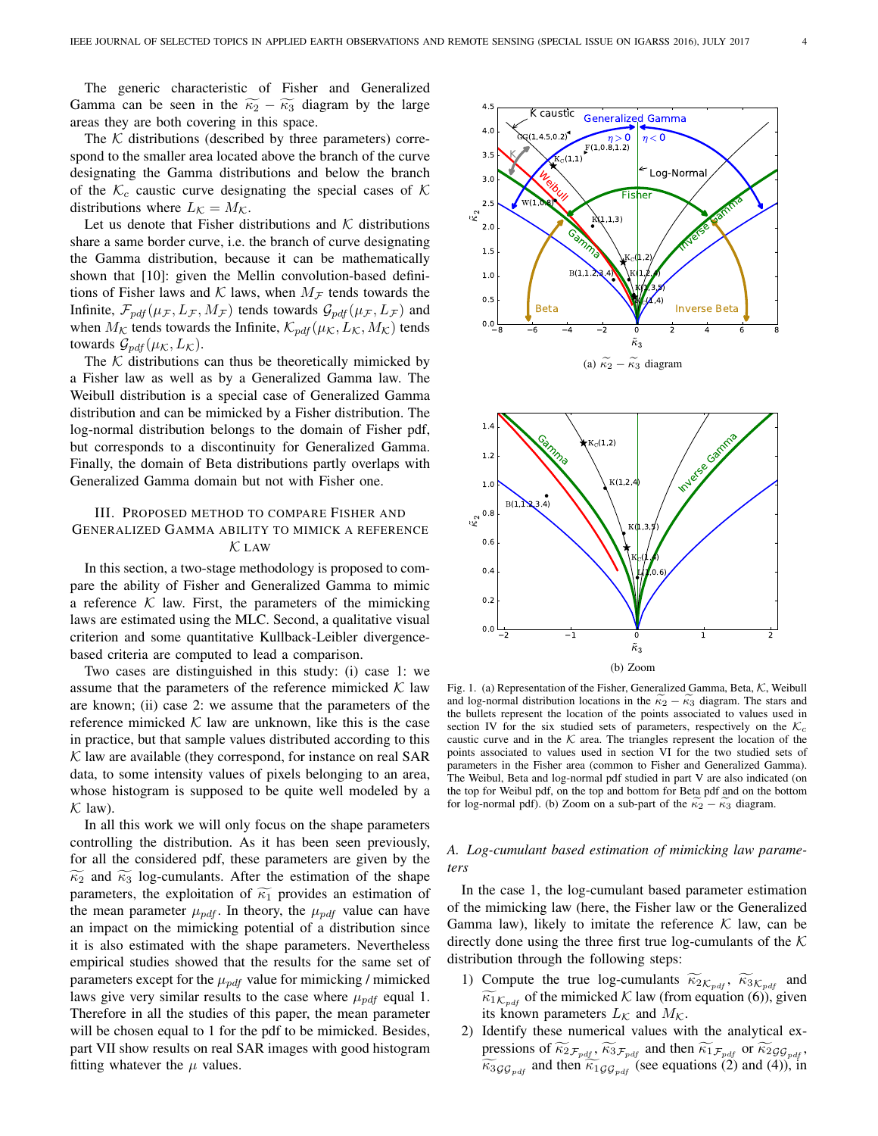The generic characteristic of Fisher and Generalized Gamma can be seen in the  $\widetilde{\kappa}_2 - \widetilde{\kappa}_3$  diagram by the large areas they are both covering in this space.

The  $K$  distributions (described by three parameters) correspond to the smaller area located above the branch of the curve designating the Gamma distributions and below the branch designating the Gamma distributions and below the branch<br>of the  $K_c$  caustic curve designating the special cases of K distributions where  $L_{\mathcal{K}} = M_{\mathcal{K}}$ .

Let us denote that Fisher distributions and  $K$  distributions share a same border curve, i.e. the branch of curve designating the Gamma distribution, because it can be mathematically shown that [10]: given the Mellin convolution-based definitions of Fisher laws and  $K$  laws, when  $M_F$  tends towards the Infinite,  $\mathcal{F}_{pdf}(\mu_{\mathcal{F}}, L_{\mathcal{F}}, M_{\mathcal{F}})$  tends towards  $\mathcal{G}_{pdf}(\mu_{\mathcal{F}}, L_{\mathcal{F}})$  and when  $M_{\mathcal{K}}$  tends towards the Infinite,  $\mathcal{K}_{pdf}(\mu_{\mathcal{K}}, L_{\mathcal{K}}, M_{\mathcal{K}})$  tends towards  $\mathcal{G}_{pdf}(\mu_{\mathcal{K}}, L_{\mathcal{K}})$ .

The  $K$  distributions can thus be theoretically mimicked by a Fisher law as well as by a Generalized Gamma law. The Weibull distribution is a special case of Generalized Gamma distribution and can be mimicked by a Fisher distribution. The log-normal distribution belongs to the domain of Fisher pdf, but corresponds to a discontinuity for Generalized Gamma. Finally, the domain of Beta distributions partly overlaps with Generalized Gamma domain but not with Fisher one.

# III. PROPOSED METHOD TO COMPARE FISHER AND GENERALIZED GAMMA ABILITY TO MIMICK A REFERENCE  $\mathcal K$  LAW

In this section, a two-stage methodology is proposed to compare the ability of Fisher and Generalized Gamma to mimic  $\left|\left|\right|\right|$ a reference  $K$  law. First, the parameters of the mimicking laws are estimated using the MLC. Second, a qualitative visual criterion and some quantitative Kullback-Leibler divergencebased criteria are computed to lead a comparison.

Two cases are distinguished in this study: (i) case 1: we assume that the parameters of the reference mimicked  $K$  law are known; (ii) case 2: we assume that the parameters of the reference mimicked  $K$  law are unknown, like this is the case in practice, but that sample values distributed according to this  $K$  law are available (they correspond, for instance on real SAR data, to some intensity values of pixels belonging to an area, whose histogram is supposed to be quite well modeled by a  $K$  law).

In all this work we will only focus on the shape parameters controlling the distribution. As it has been seen previously, for all the considered pdf, these parameters are given by the  $\widetilde{\kappa_2}$  and  $\widetilde{\kappa_3}$  log-cumulants. After the estimation of the shape parameters, the exploitation of  $\widetilde{\kappa_1}$  provides an estimation of the mean parameter  $\mu_{pdf}$ . In theory, the  $\mu_{pdf}$  value can have an impact on the mimicking potential of a distribution since it is also estimated with the shape parameters. Nevertheless empirical studies showed that the results for the same set of parameters except for the  $\mu_{pdf}$  value for mimicking / mimicked laws give very similar results to the case where  $\mu_{pdf}$  equal 1. Therefore in all the studies of this paper, the mean parameter will be chosen equal to 1 for the pdf to be mimicked. Besides, part VII show results on real SAR images with good histogram fitting whatever the  $\mu$  values.





Fig. 1. (a) Representation of the Fisher, Generalized Gamma, Beta, K, Weibull and log-normal distribution locations in the  $\kappa_2 - \kappa_3$  diagram. The stars and the bullets represent the location of the points associated to values used in section IV for the six studied sets of parameters, respectively on the  $\mathcal{K}_c$ caustic curve and in the  $K$  area. The triangles represent the location of the points associated to values used in section VI for the two studied sets of parameters in the Fisher area (common to Fisher and Generalized Gamma). The Weibul, Beta and log-normal pdf studied in part V are also indicated (on the top for Weibul pdf, on the top and bottom for Beta pdf and on the bottom for log-normal pdf). (b) Zoom on a sub-part of the  $\kappa_2 - \kappa_3$  diagram.

## *A. Log-cumulant based estimation of mimicking law parameters*

In the case 1, the log-cumulant based parameter estimation of the mimicking law (here, the Fisher law or the Generalized Gamma law), likely to imitate the reference  $K$  law, can be directly done using the three first true log-cumulants of the  $K$ distribution through the following steps:

- 1) Compute the true log-cumulants  $\widetilde{\kappa}_{2K_{pdf}}$ ,  $\widetilde{\kappa}_{3K_{pdf}}$  and  $\widetilde{\kappa}_{1\mathcal{K}_{pdf}}$  of the mimicked  $\mathcal{K}$  law (from equation (6)), given its known parameters  $L_{\mathcal{K}}$  and  $M_{\mathcal{K}}$ .
- 2) Identify these numerical values with the analytical expressions of  $\widetilde{\kappa}_{2}F_{pdf}$ ,  $\widetilde{\kappa}_{3}F_{pdf}$  and then  $\widetilde{\kappa}_{1}F_{pdf}$  or  $\widetilde{\kappa}_{2}GG_{pdf}$ ,  $\widetilde{\kappa_3}_{\mathcal{GG}_{pdf}}$  and then  $\widetilde{\kappa_1}_{\mathcal{GG}_{pdf}}$  (see equations (2) and (4)), in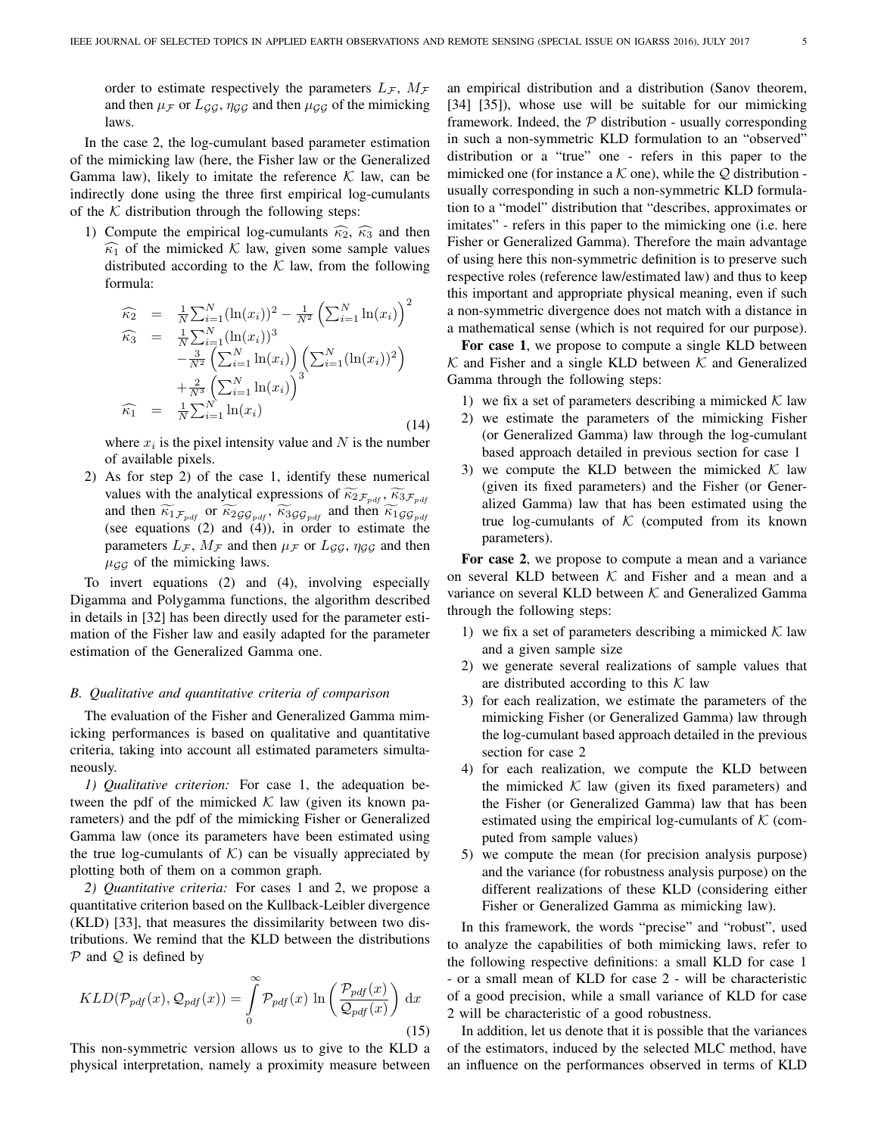order to estimate respectively the parameters  $L_{\mathcal{F}}$ ,  $M_{\mathcal{F}}$ and then  $\mu$ <sub>F</sub> or  $L_{GG}$ ,  $\eta$ <sub>G</sub><sub>G</sub> and then  $\mu$ <sub>G</sub><sub>G</sub> of the mimicking laws.

In the case 2, the log-cumulant based parameter estimation of the mimicking law (here, the Fisher law or the Generalized Gamma law), likely to imitate the reference  $K$  law, can be indirectly done using the three first empirical log-cumulants of the  $K$  distribution through the following steps:

1) Compute the empirical log-cumulants  $\widehat{\kappa}_2$ ,  $\widehat{\kappa}_3$  and then  $\widehat{\kappa_1}$  of the mimicked K law, given some sample values distributed according to the  $K$  law, from the following formula:

$$
\widehat{\kappa}_2 = \frac{1}{N} \sum_{i=1}^N (\ln(x_i))^2 - \frac{1}{N^2} \left( \sum_{i=1}^N \ln(x_i) \right)^2 \n\widehat{\kappa}_3 = \frac{1}{N} \sum_{i=1}^N (\ln(x_i))^3 \n- \frac{3}{N^2} \left( \sum_{i=1}^N \ln(x_i) \right) \left( \sum_{i=1}^N (\ln(x_i))^2 \right) \n+ \frac{2}{N^3} \left( \sum_{i=1}^N \ln(x_i) \right)^3 \n\widehat{\kappa}_1 = \frac{1}{N} \sum_{i=1}^N \ln(x_i)
$$
\n(14)

where  $x_i$  is the pixel intensity value and N is the number of available pixels.

2) As for step 2) of the case 1, identify these numerical values with the analytical expressions of  $\widetilde{\kappa}_{2\mathcal{F}_{pdf}}$ ,  $\widetilde{\kappa}_{3\mathcal{F}_{pdf}}$ and then  $\widetilde{\kappa_{1}}_{\mathcal{F}_{pdf}}$  or  $\widetilde{\kappa_{2}}_{\mathcal{GG}_{pdf}}$ ,  $\widetilde{\kappa_{3}}_{\mathcal{GG}_{pdf}}$  and then  $\widetilde{\kappa_{1}}_{\mathcal{GG}_{pdf}}$ (see equations  $(2)$  and  $(4)$ ), in order to estimate the parameters  $L_{\mathcal{F}}$ ,  $M_{\mathcal{F}}$  and then  $\mu_{\mathcal{F}}$  or  $L_{\mathcal{GG}}$ ,  $\eta_{\mathcal{GG}}$  and then  $\mu_{GG}$  of the mimicking laws.

To invert equations (2) and (4), involving especially Digamma and Polygamma functions, the algorithm described in details in [32] has been directly used for the parameter estimation of the Fisher law and easily adapted for the parameter estimation of the Generalized Gamma one.

### *B. Qualitative and quantitative criteria of comparison*

The evaluation of the Fisher and Generalized Gamma mimicking performances is based on qualitative and quantitative criteria, taking into account all estimated parameters simultaneously.

*1) Qualitative criterion:* For case 1, the adequation between the pdf of the mimicked  $K$  law (given its known parameters) and the pdf of the mimicking Fisher or Generalized Gamma law (once its parameters have been estimated using the true log-cumulants of  $K$ ) can be visually appreciated by plotting both of them on a common graph.

*2) Quantitative criteria:* For cases 1 and 2, we propose a quantitative criterion based on the Kullback-Leibler divergence (KLD) [33], that measures the dissimilarity between two distributions. We remind that the KLD between the distributions  $P$  and  $Q$  is defined by

$$
KLD(\mathcal{P}_{pdf}(x), \mathcal{Q}_{pdf}(x)) = \int_{0}^{\infty} \mathcal{P}_{pdf}(x) \ln \left( \frac{\mathcal{P}_{pdf}(x)}{\mathcal{Q}_{pdf}(x)} \right) dx
$$
\n(15)

This non-symmetric version allows us to give to the KLD a physical interpretation, namely a proximity measure between an empirical distribution and a distribution (Sanov theorem, [34] [35]), whose use will be suitable for our mimicking framework. Indeed, the  $P$  distribution - usually corresponding in such a non-symmetric KLD formulation to an "observed" distribution or a "true" one - refers in this paper to the mimicked one (for instance a  $K$  one), while the  $Q$  distribution usually corresponding in such a non-symmetric KLD formulation to a "model" distribution that "describes, approximates or imitates" - refers in this paper to the mimicking one (i.e. here Fisher or Generalized Gamma). Therefore the main advantage of using here this non-symmetric definition is to preserve such respective roles (reference law/estimated law) and thus to keep this important and appropriate physical meaning, even if such a non-symmetric divergence does not match with a distance in a mathematical sense (which is not required for our purpose).

For case 1, we propose to compute a single KLD between  $K$  and Fisher and a single KLD between  $K$  and Generalized Gamma through the following steps:

- 1) we fix a set of parameters describing a mimicked  $K$  law
- 2) we estimate the parameters of the mimicking Fisher (or Generalized Gamma) law through the log-cumulant based approach detailed in previous section for case 1
- 3) we compute the KLD between the mimicked  $K$  law (given its fixed parameters) and the Fisher (or Generalized Gamma) law that has been estimated using the true log-cumulants of  $K$  (computed from its known parameters).

For case 2, we propose to compute a mean and a variance on several KLD between  $K$  and Fisher and a mean and a variance on several KLD between  $K$  and Generalized Gamma through the following steps:

- 1) we fix a set of parameters describing a mimicked  $K$  law and a given sample size
- 2) we generate several realizations of sample values that are distributed according to this  $K$  law
- 3) for each realization, we estimate the parameters of the mimicking Fisher (or Generalized Gamma) law through the log-cumulant based approach detailed in the previous section for case 2
- 4) for each realization, we compute the KLD between the mimicked  $K$  law (given its fixed parameters) and the Fisher (or Generalized Gamma) law that has been estimated using the empirical log-cumulants of  $K$  (computed from sample values)
- 5) we compute the mean (for precision analysis purpose) and the variance (for robustness analysis purpose) on the different realizations of these KLD (considering either Fisher or Generalized Gamma as mimicking law).

In this framework, the words "precise" and "robust", used to analyze the capabilities of both mimicking laws, refer to the following respective definitions: a small KLD for case 1 - or a small mean of KLD for case 2 - will be characteristic of a good precision, while a small variance of KLD for case 2 will be characteristic of a good robustness.

In addition, let us denote that it is possible that the variances of the estimators, induced by the selected MLC method, have an influence on the performances observed in terms of KLD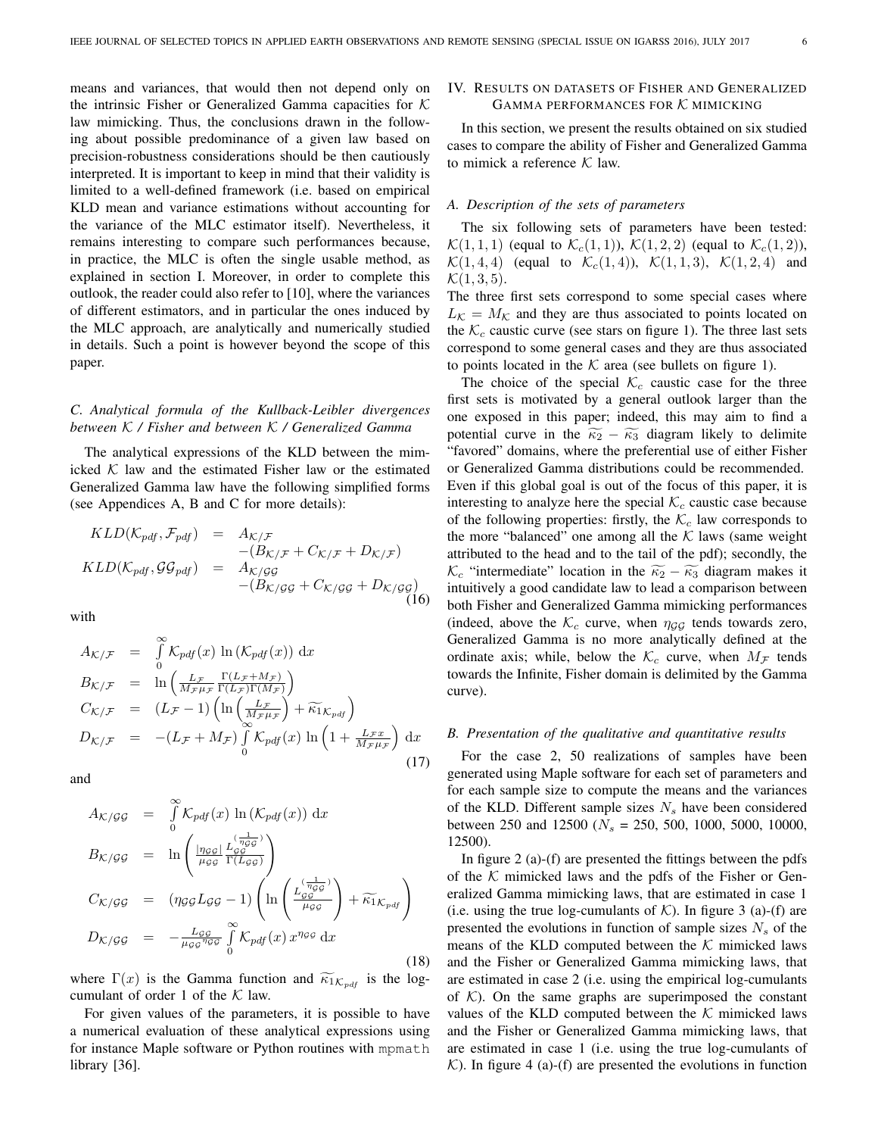means and variances, that would then not depend only on the intrinsic Fisher or Generalized Gamma capacities for  $K$ law mimicking. Thus, the conclusions drawn in the following about possible predominance of a given law based on precision-robustness considerations should be then cautiously interpreted. It is important to keep in mind that their validity is limited to a well-defined framework (i.e. based on empirical KLD mean and variance estimations without accounting for the variance of the MLC estimator itself). Nevertheless, it remains interesting to compare such performances because, in practice, the MLC is often the single usable method, as explained in section I. Moreover, in order to complete this outlook, the reader could also refer to [10], where the variances of different estimators, and in particular the ones induced by the MLC approach, are analytically and numerically studied in details. Such a point is however beyond the scope of this paper.

## *C. Analytical formula of the Kullback-Leibler divergences between* K */ Fisher and between* K */ Generalized Gamma*

The analytical expressions of the KLD between the mimicked  $K$  law and the estimated Fisher law or the estimated Generalized Gamma law have the following simplified forms (see Appendices A, B and C for more details):

$$
KLD(K_{pdf}, \mathcal{F}_{pdf}) = A_{\mathcal{K}/\mathcal{F}} - (B_{\mathcal{K}/\mathcal{F}} + C_{\mathcal{K}/\mathcal{F}} + D_{\mathcal{K}/\mathcal{F}})
$$
  
\n
$$
KLD(K_{pdf}, \mathcal{GG}_{pdf}) = A_{\mathcal{K}/\mathcal{GG}} - (B_{\mathcal{K}/\mathcal{GG}} + C_{\mathcal{K}/\mathcal{GG}} + D_{\mathcal{K}/\mathcal{GG}})
$$
\n(16)

with

$$
A_{\mathcal{K}/\mathcal{F}} = \int_{0}^{\infty} \mathcal{K}_{pdf}(x) \ln(\mathcal{K}_{pdf}(x)) dx
$$
  
\n
$$
B_{\mathcal{K}/\mathcal{F}} = \ln\left(\frac{L_{\mathcal{F}}}{M_{\mathcal{F}}\mu_{\mathcal{F}}}\frac{\Gamma(L_{\mathcal{F}}+M_{\mathcal{F}})}{\Gamma(L_{\mathcal{F}})\Gamma(M_{\mathcal{F}})}\right)
$$
  
\n
$$
C_{\mathcal{K}/\mathcal{F}} = (L_{\mathcal{F}}-1) \left(\ln\left(\frac{L_{\mathcal{F}}}{M_{\mathcal{F}}\mu_{\mathcal{F}}}\right) + \widetilde{\kappa_{1}}_{\mathcal{K}_{pdf}}\right)
$$
  
\n
$$
D_{\mathcal{K}/\mathcal{F}} = -(L_{\mathcal{F}}+M_{\mathcal{F}}) \int_{0}^{\infty} \mathcal{K}_{pdf}(x) \ln\left(1+\frac{L_{\mathcal{F}}x}{M_{\mathcal{F}}\mu_{\mathcal{F}}}\right) dx
$$
\n(17)

and

$$
A_{K/GG} = \int_{0}^{\infty} K_{pdf}(x) \ln(K_{pdf}(x)) dx
$$
  
\n
$$
B_{K/GG} = \ln\left(\frac{|\eta_{GG}|}{\mu_{GG}} \frac{L_{GG}^{(\frac{1}{\eta_{GG}})}}{\Gamma(L_{GG})}\right)
$$
  
\n
$$
C_{K/GG} = (\eta_{GG} L_{GG} - 1) \left(\ln\left(\frac{L_{GG}^{(\frac{1}{\eta_{GG}})}}{\mu_{GG}}\right) + \widetilde{\kappa_{1}}_{K_{pdf}}\right)
$$
  
\n
$$
D_{K/GG} = -\frac{L_{GG}}{\mu_{GG} \eta_{GG}} \int_{0}^{\infty} K_{pdf}(x) x^{\eta_{GG}} dx
$$
\n(18)

where  $\Gamma(x)$  is the Gamma function and  $\widetilde{\kappa}_{1K_{pdf}}$  is the logcumulant of order 1 of the  $K$  law.

For given values of the parameters, it is possible to have a numerical evaluation of these analytical expressions using for instance Maple software or Python routines with mpmath library [36].

# IV. RESULTS ON DATASETS OF FISHER AND GENERALIZED GAMMA PERFORMANCES FOR  $K$  mimicking

In this section, we present the results obtained on six studied cases to compare the ability of Fisher and Generalized Gamma to mimick a reference  $K$  law.

## *A. Description of the sets of parameters*

The six following sets of parameters have been tested:  $\mathcal{K}(1,1,1)$  (equal to  $\mathcal{K}_c(1,1)$ ),  $\mathcal{K}(1,2,2)$  (equal to  $\mathcal{K}_c(1,2)$ ),  $\mathcal{K}(1, 4, 4)$  (equal to  $\mathcal{K}_c(1, 4)$ ),  $\mathcal{K}(1, 1, 3)$ ,  $\mathcal{K}(1, 2, 4)$  and  $\mathcal{K}(1, 3, 5)$ .

The three first sets correspond to some special cases where  $L_{\mathcal{K}} = M_{\mathcal{K}}$  and they are thus associated to points located on the  $K_c$  caustic curve (see stars on figure 1). The three last sets correspond to some general cases and they are thus associated to points located in the  $K$  area (see bullets on figure 1).

The choice of the special  $\mathcal{K}_c$  caustic case for the three first sets is motivated by a general outlook larger than the one exposed in this paper; indeed, this may aim to find a potential curve in the  $\widetilde{\kappa}_2 - \widetilde{\kappa}_3$  diagram likely to delimite "favored" domains, where the preferential use of either Fisher or Generalized Gamma distributions could be recommended. Even if this global goal is out of the focus of this paper, it is interesting to analyze here the special  $\mathcal{K}_c$  caustic case because of the following properties: firstly, the  $\mathcal{K}_c$  law corresponds to the more "balanced" one among all the  $K$  laws (same weight attributed to the head and to the tail of the pdf); secondly, the  $\mathcal{K}_c$  "intermediate" location in the  $\widetilde{\kappa_2} - \widetilde{\kappa_3}$  diagram makes it intuitively a good candidate law to lead a comparison between both Fisher and Generalized Gamma mimicking performances (indeed, above the  $K_c$  curve, when  $\eta_{GG}$  tends towards zero, Generalized Gamma is no more analytically defined at the ordinate axis; while, below the  $\mathcal{K}_c$  curve, when  $M_{\mathcal{F}}$  tends towards the Infinite, Fisher domain is delimited by the Gamma curve).

#### *B. Presentation of the qualitative and quantitative results*

For the case 2, 50 realizations of samples have been generated using Maple software for each set of parameters and for each sample size to compute the means and the variances of the KLD. Different sample sizes  $N_s$  have been considered between 250 and 12500 ( $N_s = 250$ , 500, 1000, 5000, 10000, 12500).

In figure 2 (a)-(f) are presented the fittings between the pdfs of the  $K$  mimicked laws and the pdfs of the Fisher or Generalized Gamma mimicking laws, that are estimated in case 1 (i.e. using the true log-cumulants of  $K$ ). In figure 3 (a)-(f) are presented the evolutions in function of sample sizes  $N<sub>s</sub>$  of the means of the KLD computed between the  $K$  mimicked laws and the Fisher or Generalized Gamma mimicking laws, that are estimated in case 2 (i.e. using the empirical log-cumulants of  $K$ ). On the same graphs are superimposed the constant values of the KLD computed between the  $K$  mimicked laws and the Fisher or Generalized Gamma mimicking laws, that are estimated in case 1 (i.e. using the true log-cumulants of  $K$ ). In figure 4 (a)-(f) are presented the evolutions in function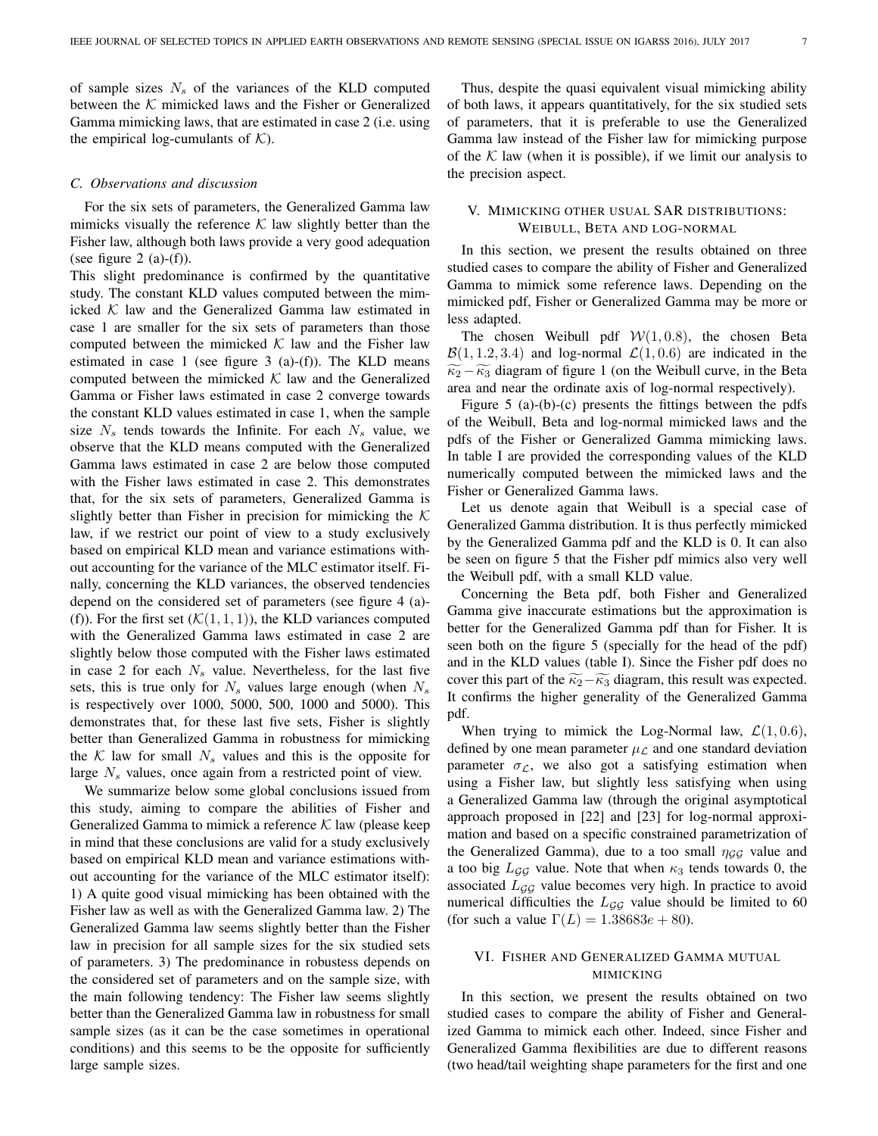of sample sizes  $N<sub>s</sub>$  of the variances of the KLD computed between the  $K$  mimicked laws and the Fisher or Generalized Gamma mimicking laws, that are estimated in case 2 (i.e. using the empirical log-cumulants of  $K$ ).

#### *C. Observations and discussion*

For the six sets of parameters, the Generalized Gamma law mimicks visually the reference  $K$  law slightly better than the Fisher law, although both laws provide a very good adequation (see figure 2  $(a)-(f)$ ).

This slight predominance is confirmed by the quantitative study. The constant KLD values computed between the mimicked  $K$  law and the Generalized Gamma law estimated in case 1 are smaller for the six sets of parameters than those computed between the mimicked  $K$  law and the Fisher law estimated in case 1 (see figure  $3$  (a)-(f)). The KLD means computed between the mimicked  $K$  law and the Generalized Gamma or Fisher laws estimated in case 2 converge towards the constant KLD values estimated in case 1, when the sample size  $N_s$  tends towards the Infinite. For each  $N_s$  value, we observe that the KLD means computed with the Generalized Gamma laws estimated in case 2 are below those computed with the Fisher laws estimated in case 2. This demonstrates that, for the six sets of parameters, Generalized Gamma is slightly better than Fisher in precision for mimicking the  $K$ law, if we restrict our point of view to a study exclusively based on empirical KLD mean and variance estimations without accounting for the variance of the MLC estimator itself. Finally, concerning the KLD variances, the observed tendencies depend on the considered set of parameters (see figure 4 (a)- (f)). For the first set  $(K(1, 1, 1))$ , the KLD variances computed with the Generalized Gamma laws estimated in case 2 are slightly below those computed with the Fisher laws estimated in case 2 for each  $N_s$  value. Nevertheless, for the last five sets, this is true only for  $N_s$  values large enough (when  $N_s$ is respectively over 1000, 5000, 500, 1000 and 5000). This demonstrates that, for these last five sets, Fisher is slightly better than Generalized Gamma in robustness for mimicking the K law for small  $N_s$  values and this is the opposite for large  $N_s$  values, once again from a restricted point of view.

We summarize below some global conclusions issued from this study, aiming to compare the abilities of Fisher and Generalized Gamma to mimick a reference  $K$  law (please keep in mind that these conclusions are valid for a study exclusively based on empirical KLD mean and variance estimations without accounting for the variance of the MLC estimator itself): 1) A quite good visual mimicking has been obtained with the Fisher law as well as with the Generalized Gamma law. 2) The Generalized Gamma law seems slightly better than the Fisher law in precision for all sample sizes for the six studied sets of parameters. 3) The predominance in robustess depends on the considered set of parameters and on the sample size, with the main following tendency: The Fisher law seems slightly better than the Generalized Gamma law in robustness for small sample sizes (as it can be the case sometimes in operational conditions) and this seems to be the opposite for sufficiently large sample sizes.

Thus, despite the quasi equivalent visual mimicking ability of both laws, it appears quantitatively, for the six studied sets of parameters, that it is preferable to use the Generalized Gamma law instead of the Fisher law for mimicking purpose of the  $K$  law (when it is possible), if we limit our analysis to the precision aspect.

## V. MIMICKING OTHER USUAL SAR DISTRIBUTIONS: WEIBULL, BETA AND LOG-NORMAL

In this section, we present the results obtained on three studied cases to compare the ability of Fisher and Generalized Gamma to mimick some reference laws. Depending on the mimicked pdf, Fisher or Generalized Gamma may be more or less adapted.

The chosen Weibull pdf  $W(1, 0.8)$ , the chosen Beta  $\mathcal{B}(1, 1.2, 3.4)$  and log-normal  $\mathcal{L}(1, 0.6)$  are indicated in the  $\widetilde{\kappa}_2 - \widetilde{\kappa}_3$  diagram of figure 1 (on the Weibull curve, in the Beta area and near the ordinate axis of log-normal respectively).

Figure 5 (a)-(b)-(c) presents the fittings between the pdfs of the Weibull, Beta and log-normal mimicked laws and the pdfs of the Fisher or Generalized Gamma mimicking laws. In table I are provided the corresponding values of the KLD numerically computed between the mimicked laws and the Fisher or Generalized Gamma laws.

Let us denote again that Weibull is a special case of Generalized Gamma distribution. It is thus perfectly mimicked by the Generalized Gamma pdf and the KLD is 0. It can also be seen on figure 5 that the Fisher pdf mimics also very well the Weibull pdf, with a small KLD value.

Concerning the Beta pdf, both Fisher and Generalized Gamma give inaccurate estimations but the approximation is better for the Generalized Gamma pdf than for Fisher. It is seen both on the figure 5 (specially for the head of the pdf) and in the KLD values (table I). Since the Fisher pdf does no cover this part of the  $\widetilde{\kappa}_2-\widetilde{\kappa}_3$  diagram, this result was expected. It confirms the higher generality of the Generalized Gamma pdf.

When trying to mimick the Log-Normal law,  $\mathcal{L}(1, 0.6)$ , defined by one mean parameter  $\mu_{\mathcal{L}}$  and one standard deviation parameter  $\sigma_{\mathcal{L}}$ , we also got a satisfying estimation when using a Fisher law, but slightly less satisfying when using a Generalized Gamma law (through the original asymptotical approach proposed in [22] and [23] for log-normal approximation and based on a specific constrained parametrization of the Generalized Gamma), due to a too small  $\eta_{GG}$  value and a too big  $L_{GG}$  value. Note that when  $\kappa_3$  tends towards 0, the associated  $L_{GG}$  value becomes very high. In practice to avoid numerical difficulties the  $L_{GG}$  value should be limited to 60 (for such a value  $\Gamma(L) = 1.38683e + 80$ ).

## VI. FISHER AND GENERALIZED GAMMA MUTUAL MIMICKING

In this section, we present the results obtained on two studied cases to compare the ability of Fisher and Generalized Gamma to mimick each other. Indeed, since Fisher and Generalized Gamma flexibilities are due to different reasons (two head/tail weighting shape parameters for the first and one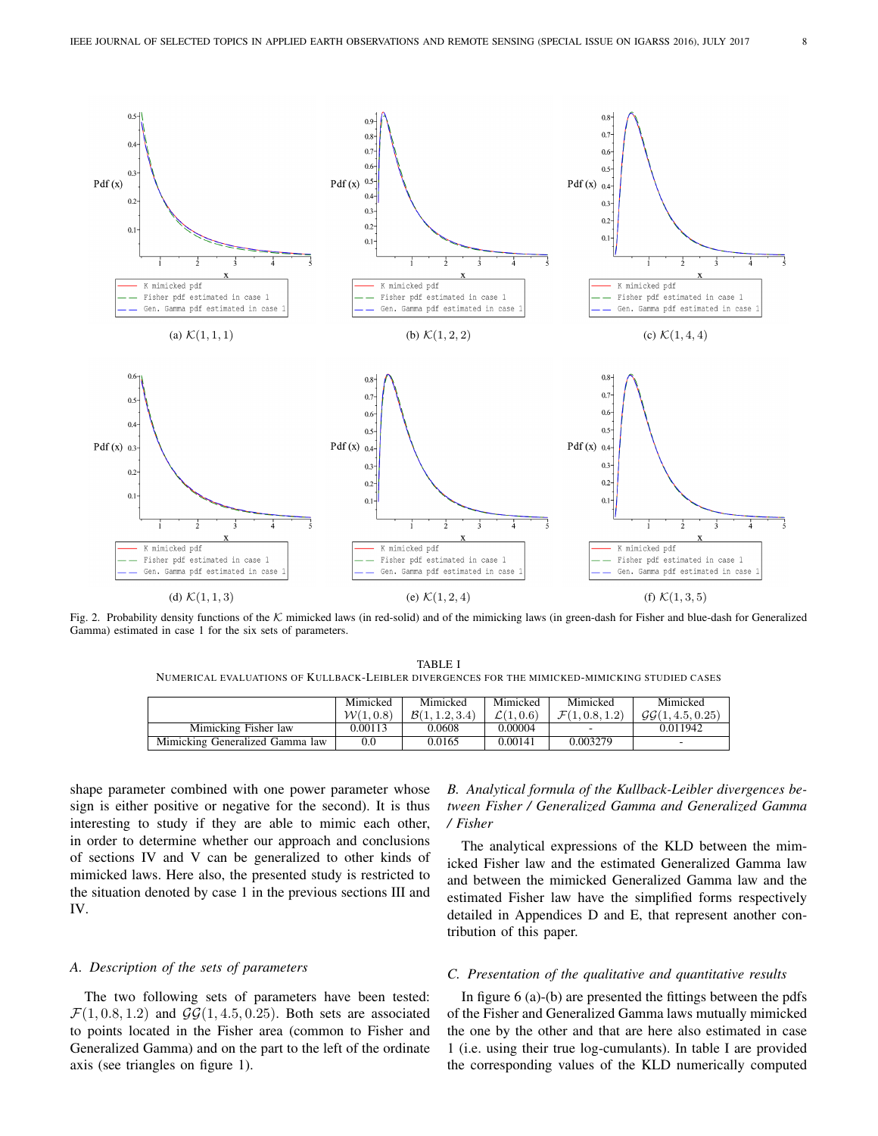

Fig. 2. Probability density functions of the  $K$  mimicked laws (in red-solid) and of the mimicking laws (in green-dash for Fisher and blue-dash for Generalized Gamma) estimated in case 1 for the six sets of parameters.

TABLE I NUMERICAL EVALUATIONS OF KULLBACK-LEIBLER DIVERGENCES FOR THE MIMICKED-MIMICKING STUDIED CASES

|                                 | Mimicked<br>W(1,0.8) | Mimicked<br>B(1, 1.2, 3.4) | Mimicked<br>$\mathcal{L}(1,0.6)$ | Mimicked<br>$\mathcal{F}(1,0.8,1.2)$ | Mimicked<br>GG(1, 4.5, 0.25) |
|---------------------------------|----------------------|----------------------------|----------------------------------|--------------------------------------|------------------------------|
| Mimicking Fisher law            | 0.00113              | 0.0608                     | 0.00004                          |                                      | 0.011942                     |
| Mimicking Generalized Gamma law | 0.0                  | 0.0165                     | 0.00141                          | 0.003279                             | ۰                            |

shape parameter combined with one power parameter whose sign is either positive or negative for the second). It is thus interesting to study if they are able to mimic each other, in order to determine whether our approach and conclusions of sections IV and V can be generalized to other kinds of mimicked laws. Here also, the presented study is restricted to the situation denoted by case 1 in the previous sections III and IV.

#### *A. Description of the sets of parameters*

The two following sets of parameters have been tested:  $\mathcal{F}(1, 0.8, 1.2)$  and  $\mathcal{GG}(1, 4.5, 0.25)$ . Both sets are associated to points located in the Fisher area (common to Fisher and Generalized Gamma) and on the part to the left of the ordinate axis (see triangles on figure 1).

# *B. Analytical formula of the Kullback-Leibler divergences between Fisher / Generalized Gamma and Generalized Gamma / Fisher*

The analytical expressions of the KLD between the mimicked Fisher law and the estimated Generalized Gamma law and between the mimicked Generalized Gamma law and the estimated Fisher law have the simplified forms respectively detailed in Appendices D and E, that represent another contribution of this paper.

#### *C. Presentation of the qualitative and quantitative results*

In figure 6 (a)-(b) are presented the fittings between the pdfs of the Fisher and Generalized Gamma laws mutually mimicked the one by the other and that are here also estimated in case 1 (i.e. using their true log-cumulants). In table I are provided the corresponding values of the KLD numerically computed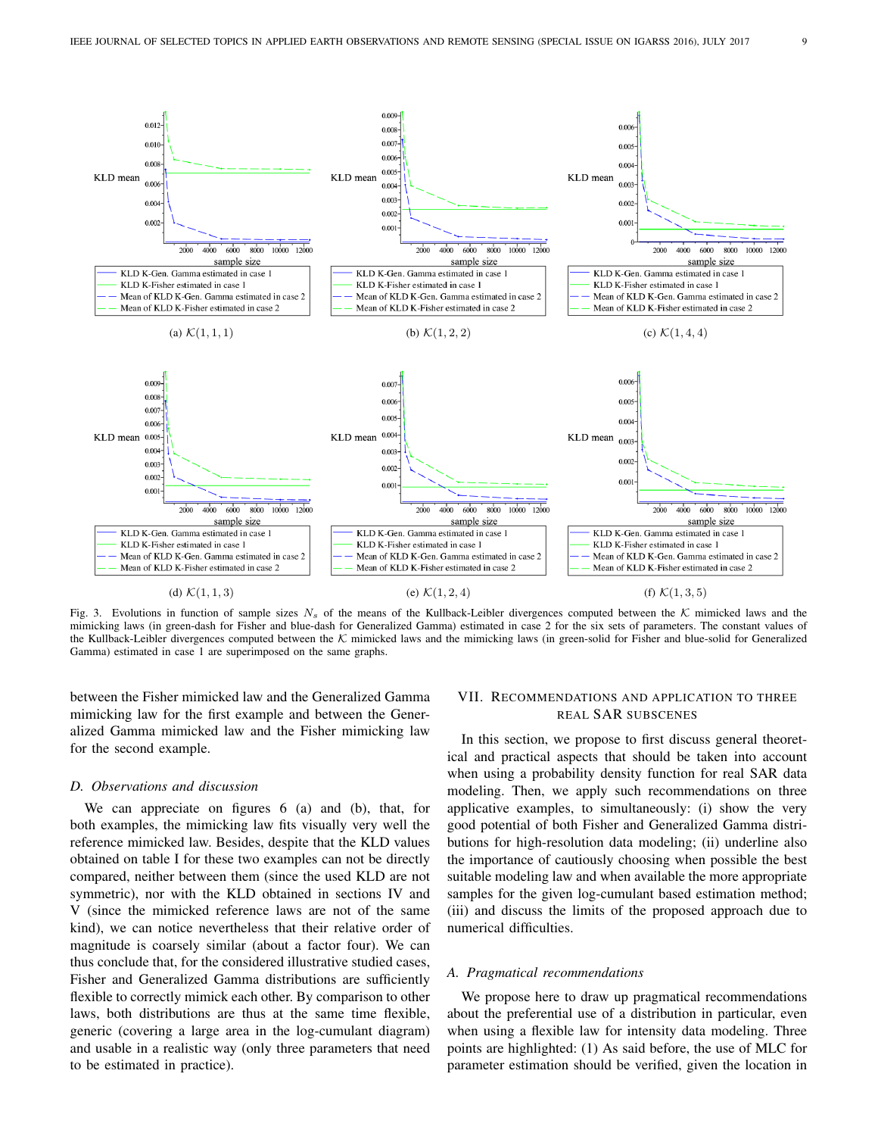

Fig. 3. Evolutions in function of sample sizes  $N_s$  of the means of the Kullback-Leibler divergences computed between the K mimicked laws and the mimicking laws (in green-dash for Fisher and blue-dash for Generalized Gamma) estimated in case 2 for the six sets of parameters. The constant values of the Kullback-Leibler divergences computed between the  $K$  mimicked laws and the mimicking laws (in green-solid for Fisher and blue-solid for Generalized Gamma) estimated in case 1 are superimposed on the same graphs.

between the Fisher mimicked law and the Generalized Gamma mimicking law for the first example and between the Generalized Gamma mimicked law and the Fisher mimicking law for the second example.

#### *D. Observations and discussion*

We can appreciate on figures 6 (a) and (b), that, for both examples, the mimicking law fits visually very well the reference mimicked law. Besides, despite that the KLD values obtained on table I for these two examples can not be directly compared, neither between them (since the used KLD are not symmetric), nor with the KLD obtained in sections IV and V (since the mimicked reference laws are not of the same kind), we can notice nevertheless that their relative order of magnitude is coarsely similar (about a factor four). We can thus conclude that, for the considered illustrative studied cases, Fisher and Generalized Gamma distributions are sufficiently flexible to correctly mimick each other. By comparison to other laws, both distributions are thus at the same time flexible, generic (covering a large area in the log-cumulant diagram) and usable in a realistic way (only three parameters that need to be estimated in practice).

## VII. RECOMMENDATIONS AND APPLICATION TO THREE REAL SAR SUBSCENES

In this section, we propose to first discuss general theoretical and practical aspects that should be taken into account when using a probability density function for real SAR data modeling. Then, we apply such recommendations on three applicative examples, to simultaneously: (i) show the very good potential of both Fisher and Generalized Gamma distributions for high-resolution data modeling; (ii) underline also the importance of cautiously choosing when possible the best suitable modeling law and when available the more appropriate samples for the given log-cumulant based estimation method; (iii) and discuss the limits of the proposed approach due to numerical difficulties.

#### *A. Pragmatical recommendations*

We propose here to draw up pragmatical recommendations about the preferential use of a distribution in particular, even when using a flexible law for intensity data modeling. Three points are highlighted: (1) As said before, the use of MLC for parameter estimation should be verified, given the location in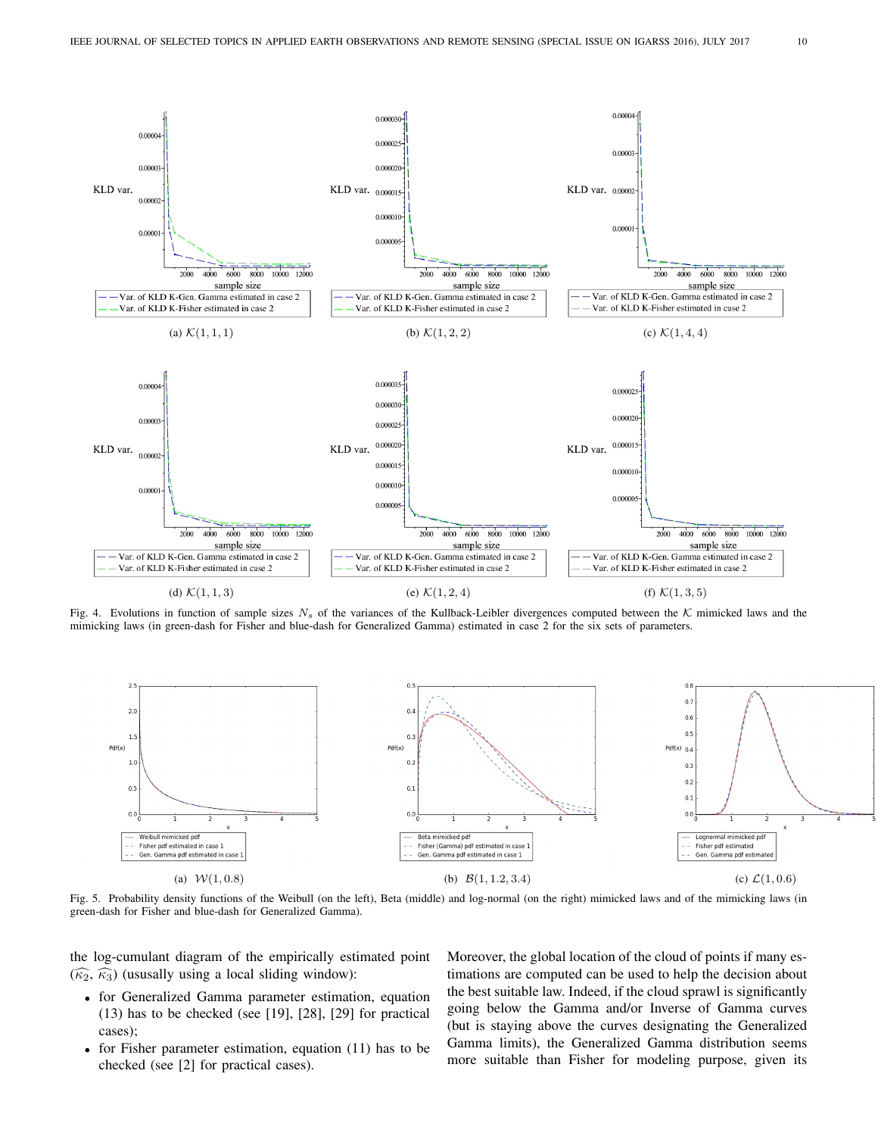

Fig. 4. Evolutions in function of sample sizes  $N_s$  of the variances of the Kullback-Leibler divergences computed between the K mimicked laws and the mimicking laws (in green-dash for Fisher and blue-dash for Generalized Gamma) estimated in case 2 for the six sets of parameters.



Fig. 5. Probability density functions of the Weibull (on the left), Beta (middle) and log-normal (on the right) mimicked laws and of the mimicking laws (in green-dash for Fisher and blue-dash for Generalized Gamma).

the log-cumulant diagram of the empirically estimated point  $(\widehat{\kappa}_2, \widehat{\kappa}_3)$  (ususally using a local sliding window):

- for Generalized Gamma parameter estimation, equation (13) has to be checked (see [19], [28], [29] for practical cases);
- for Fisher parameter estimation, equation (11) has to be checked (see [2] for practical cases).

Moreover, the global location of the cloud of points if many estimations are computed can be used to help the decision about the best suitable law. Indeed, if the cloud sprawl is significantly going below the Gamma and/or Inverse of Gamma curves (but is staying above the curves designating the Generalized Gamma limits), the Generalized Gamma distribution seems more suitable than Fisher for modeling purpose, given its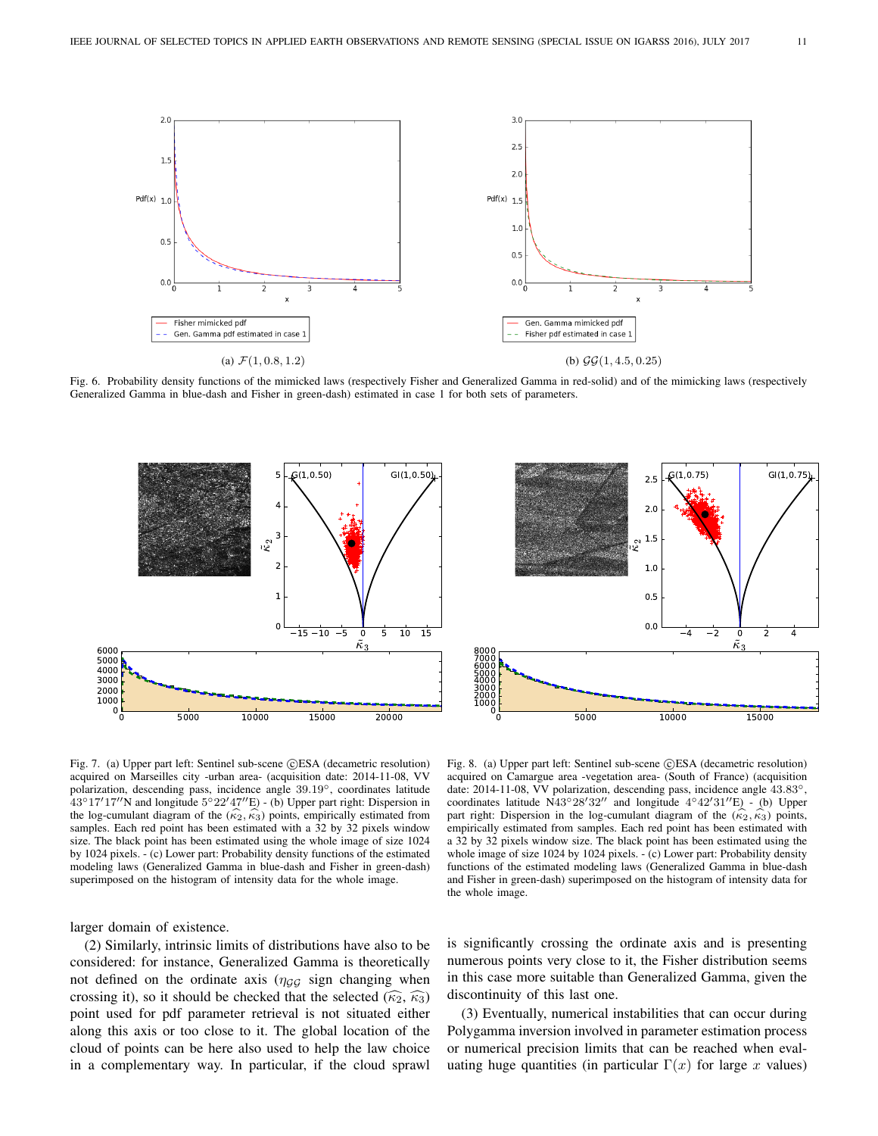

Fig. 6. Probability density functions of the mimicked laws (respectively Fisher and Generalized Gamma in red-solid) and of the mimicking laws (respectively Generalized Gamma in blue-dash and Fisher in green-dash) estimated in case 1 for both sets of parameters.





Fig. 7. (a) Upper part left: Sentinel sub-scene CESA (decametric resolution) acquired on Marseilles city -urban area- (acquisition date: 2014-11-08, VV polarization, descending pass, incidence angle 39.19◦, coordinates latitude  $43°17'17''$ N and longitude  $5°22'47''E$ ) - (b) Upper part right: Dispersion in the log-cumulant diagram of the  $(\kappa_2, \kappa_3)$  points, empirically estimated from samples. Each red point has been estimated with a 32 by 32 pixels window size. The black point has been estimated using the whole image of size 1024 by 1024 pixels. - (c) Lower part: Probability density functions of the estimated modeling laws (Generalized Gamma in blue-dash and Fisher in green-dash) superimposed on the histogram of intensity data for the whole image.

larger domain of existence.

(2) Similarly, intrinsic limits of distributions have also to be considered: for instance, Generalized Gamma is theoretically not defined on the ordinate axis ( $\eta_{GG}$  sign changing when crossing it), so it should be checked that the selected  $(\widehat{\kappa_2}, \widehat{\kappa_3})$ point used for pdf parameter retrieval is not situated either along this axis or too close to it. The global location of the cloud of points can be here also used to help the law choice in a complementary way. In particular, if the cloud sprawl

Fig. 8. (a) Upper part left: Sentinel sub-scene CESA (decametric resolution) acquired on Camargue area -vegetation area- (South of France) (acquisition date: 2014-11-08, VV polarization, descending pass, incidence angle 43.83◦, coordinates latitude N43°28'32" and longitude  $4°42'31''E$ ) - (b) Upper part right: Dispersion in the log-cumulant diagram of the  $(\kappa_2, \kappa_3)$  points, empirically estimated from samples. Each red point has been estimated with a 32 by 32 pixels window size. The black point has been estimated using the whole image of size 1024 by 1024 pixels. - (c) Lower part: Probability density functions of the estimated modeling laws (Generalized Gamma in blue-dash and Fisher in green-dash) superimposed on the histogram of intensity data for the whole image.

is significantly crossing the ordinate axis and is presenting numerous points very close to it, the Fisher distribution seems in this case more suitable than Generalized Gamma, given the discontinuity of this last one.

(3) Eventually, numerical instabilities that can occur during Polygamma inversion involved in parameter estimation process or numerical precision limits that can be reached when evaluating huge quantities (in particular  $\Gamma(x)$  for large x values)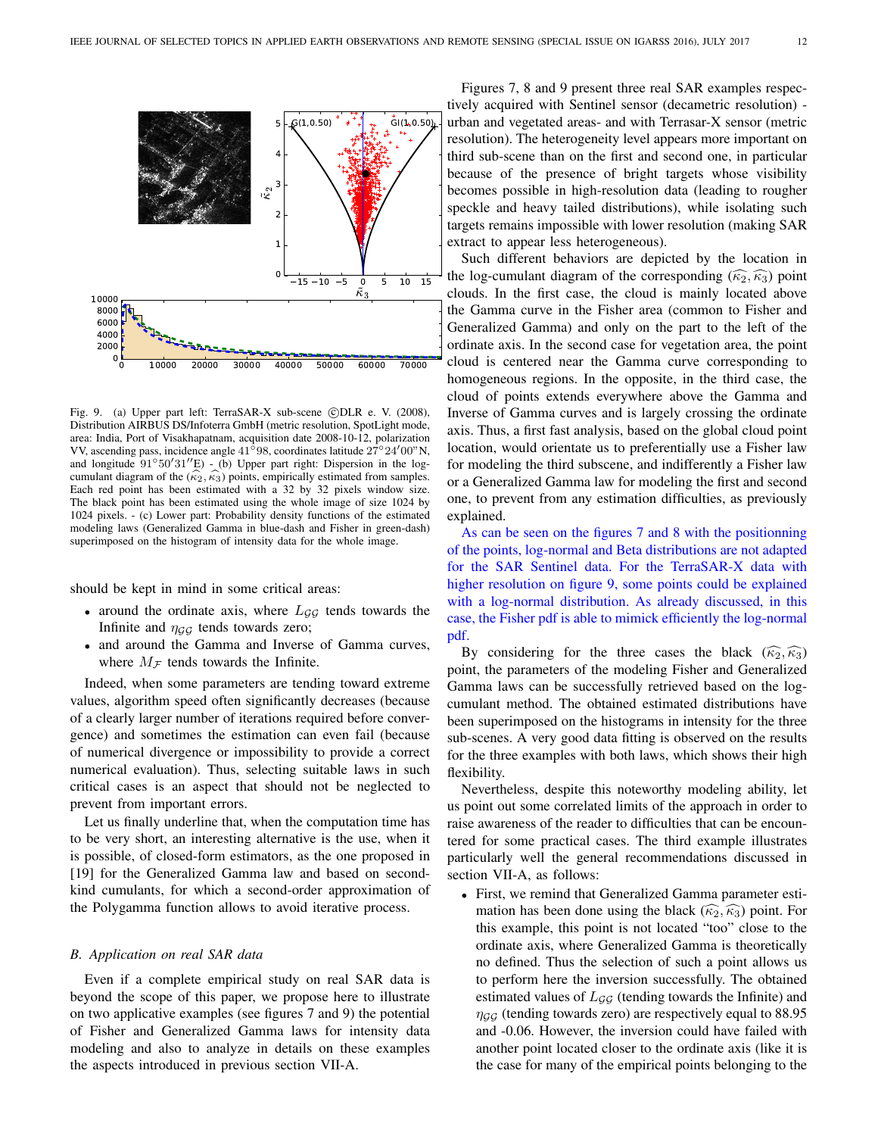

Fig. 9. (a) Upper part left: TerraSAR-X sub-scene ©DLR e. V. (2008), Distribution AIRBUS DS/Infoterra GmbH (metric resolution, SpotLight mode, area: India, Port of Visakhapatnam, acquisition date 2008-10-12, polarization VV, ascending pass, incidence angle 41°98, coordinates latitude 27°24′00"N, and longitude 91°50′31″E) - (b) Upper part right: Dispersion in the log-<br>cumulant diagram of the  $(\widehat{\kappa_2}, \widehat{\kappa_3})$  points, empirically estimated from samples. cumulant diagram of the  $(k_2, k_3)$  points, empirically estimated from samples.<br>Each red point has been estimated with a 32 by 32 pixels window size. The black point has been estimated using the whole image of size 1024 by 1024 pixels. - (c) Lower part: Probability density functions of the estimated modeling laws (Generalized Gamma in blue-dash and Fisher in green-dash) superimposed on the histogram of intensity data for the whole image.

should be kept in mind in some critical areas:

- around the ordinate axis, where  $L_{GG}$  tends towards the Infinite and  $\eta_{GG}$  tends towards zero;
- and around the Gamma and Inverse of Gamma curves, where  $M_F$  tends towards the Infinite.

Indeed, when some parameters are tending toward extreme values, algorithm speed often significantly decreases (because of a clearly larger number of iterations required before convergence) and sometimes the estimation can even fail (because of numerical divergence or impossibility to provide a correct numerical evaluation). Thus, selecting suitable laws in such critical cases is an aspect that should not be neglected to prevent from important errors.

Let us finally underline that, when the computation time has to be very short, an interesting alternative is the use, when it is possible, of closed-form estimators, as the one proposed in [19] for the Generalized Gamma law and based on secondkind cumulants, for which a second-order approximation of the Polygamma function allows to avoid iterative process.

#### *B. Application on real SAR data*

Even if a complete empirical study on real SAR data is beyond the scope of this paper, we propose here to illustrate on two applicative examples (see figures 7 and 9) the potential of Fisher and Generalized Gamma laws for intensity data modeling and also to analyze in details on these examples the aspects introduced in previous section VII-A.

Figures 7, 8 and 9 present three real SAR examples respectively acquired with Sentinel sensor (decametric resolution) urban and vegetated areas- and with Terrasar-X sensor (metric resolution). The heterogeneity level appears more important on third sub-scene than on the first and second one, in particular because of the presence of bright targets whose visibility becomes possible in high-resolution data (leading to rougher speckle and heavy tailed distributions), while isolating such targets remains impossible with lower resolution (making SAR extract to appear less heterogeneous).

Such different behaviors are depicted by the location in the log-cumulant diagram of the corresponding  $(\widehat{\kappa_2}, \widehat{\kappa_3})$  point clouds. In the first case, the cloud is mainly located above the Gamma curve in the Fisher area (common to Fisher and Generalized Gamma) and only on the part to the left of the ordinate axis. In the second case for vegetation area, the point cloud is centered near the Gamma curve corresponding to homogeneous regions. In the opposite, in the third case, the cloud of points extends everywhere above the Gamma and Inverse of Gamma curves and is largely crossing the ordinate axis. Thus, a first fast analysis, based on the global cloud point location, would orientate us to preferentially use a Fisher law for modeling the third subscene, and indifferently a Fisher law or a Generalized Gamma law for modeling the first and second one, to prevent from any estimation difficulties, as previously explained.

As can be seen on the figures 7 and 8 with the positionning of the points, log-normal and Beta distributions are not adapted for the SAR Sentinel data. For the TerraSAR-X data with higher resolution on figure 9, some points could be explained with a log-normal distribution. As already discussed, in this case, the Fisher pdf is able to mimick efficiently the log-normal pdf.

By considering for the three cases the black  $(\widehat{\kappa_2}, \widehat{\kappa_3})$ point, the parameters of the modeling Fisher and Generalized Gamma laws can be successfully retrieved based on the logcumulant method. The obtained estimated distributions have been superimposed on the histograms in intensity for the three sub-scenes. A very good data fitting is observed on the results for the three examples with both laws, which shows their high flexibility.

Nevertheless, despite this noteworthy modeling ability, let us point out some correlated limits of the approach in order to raise awareness of the reader to difficulties that can be encountered for some practical cases. The third example illustrates particularly well the general recommendations discussed in section VII-A, as follows:

• First, we remind that Generalized Gamma parameter estimation has been done using the black  $(\widehat{\kappa_2}, \widehat{\kappa_3})$  point. For this example, this point is not located "too" close to the ordinate axis, where Generalized Gamma is theoretically no defined. Thus the selection of such a point allows us to perform here the inversion successfully. The obtained estimated values of  $L_{GG}$  (tending towards the Infinite) and  $\eta_{GG}$  (tending towards zero) are respectively equal to 88.95 and -0.06. However, the inversion could have failed with another point located closer to the ordinate axis (like it is the case for many of the empirical points belonging to the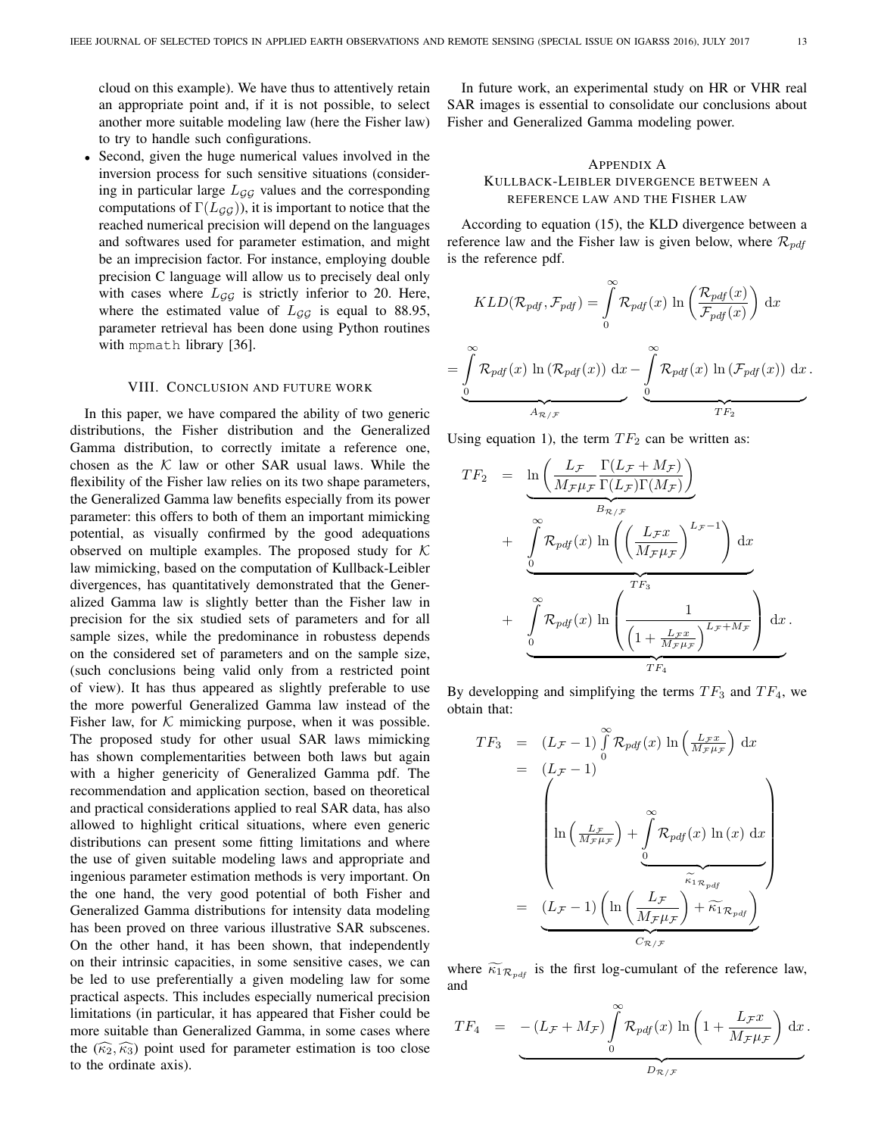=

cloud on this example). We have thus to attentively retain an appropriate point and, if it is not possible, to select another more suitable modeling law (here the Fisher law) to try to handle such configurations.

• Second, given the huge numerical values involved in the inversion process for such sensitive situations (considering in particular large  $L_{GG}$  values and the corresponding computations of  $\Gamma(L_{GG})$ ), it is important to notice that the reached numerical precision will depend on the languages and softwares used for parameter estimation, and might be an imprecision factor. For instance, employing double precision C language will allow us to precisely deal only with cases where  $L_{GG}$  is strictly inferior to 20. Here, where the estimated value of  $L_{GG}$  is equal to 88.95, parameter retrieval has been done using Python routines with mpmath library [36].

## VIII. CONCLUSION AND FUTURE WORK

In this paper, we have compared the ability of two generic distributions, the Fisher distribution and the Generalized Gamma distribution, to correctly imitate a reference one, chosen as the  $K$  law or other SAR usual laws. While the flexibility of the Fisher law relies on its two shape parameters, the Generalized Gamma law benefits especially from its power parameter: this offers to both of them an important mimicking potential, as visually confirmed by the good adequations observed on multiple examples. The proposed study for  $K$ law mimicking, based on the computation of Kullback-Leibler divergences, has quantitatively demonstrated that the Generalized Gamma law is slightly better than the Fisher law in precision for the six studied sets of parameters and for all sample sizes, while the predominance in robustess depends on the considered set of parameters and on the sample size, (such conclusions being valid only from a restricted point of view). It has thus appeared as slightly preferable to use the more powerful Generalized Gamma law instead of the Fisher law, for  $K$  mimicking purpose, when it was possible. The proposed study for other usual SAR laws mimicking has shown complementarities between both laws but again with a higher genericity of Generalized Gamma pdf. The recommendation and application section, based on theoretical and practical considerations applied to real SAR data, has also allowed to highlight critical situations, where even generic distributions can present some fitting limitations and where the use of given suitable modeling laws and appropriate and ingenious parameter estimation methods is very important. On the one hand, the very good potential of both Fisher and Generalized Gamma distributions for intensity data modeling has been proved on three various illustrative SAR subscenes. On the other hand, it has been shown, that independently on their intrinsic capacities, in some sensitive cases, we can be led to use preferentially a given modeling law for some practical aspects. This includes especially numerical precision limitations (in particular, it has appeared that Fisher could be more suitable than Generalized Gamma, in some cases where the  $(\widehat{\kappa_2}, \widehat{\kappa_3})$  point used for parameter estimation is too close to the ordinate axis).

In future work, an experimental study on HR or VHR real SAR images is essential to consolidate our conclusions about Fisher and Generalized Gamma modeling power.

## APPENDIX A KULLBACK-LEIBLER DIVERGENCE BETWEEN A REFERENCE LAW AND THE FISHER LAW

According to equation (15), the KLD divergence between a reference law and the Fisher law is given below, where  $\mathcal{R}_{pdf}$ is the reference pdf.

$$
KLD(\mathcal{R}_{pdf}, \mathcal{F}_{pdf}) = \int_{0}^{\infty} \mathcal{R}_{pdf}(x) \ln \left( \frac{\mathcal{R}_{pdf}(x)}{\mathcal{F}_{pdf}(x)} \right) dx
$$

$$
= \int_{0}^{\infty} \mathcal{R}_{pdf}(x) \ln (\mathcal{R}_{pdf}(x)) dx - \int_{0}^{\infty} \mathcal{R}_{pdf}(x) \ln (\mathcal{F}_{pdf}(x)) dx.
$$

Using equation 1), the term  $TF_2$  can be written as:

$$
TF_2 = \underbrace{\ln\left(\frac{L_{\mathcal{F}}}{M_{\mathcal{F}}\mu_{\mathcal{F}}}\frac{\Gamma(L_{\mathcal{F}}+M_{\mathcal{F}})}{\Gamma(L_{\mathcal{F}})\Gamma(M_{\mathcal{F}})}\right)}_{B_{\mathcal{R}/\mathcal{F}}} + \underbrace{\int_{0}^{\infty} \mathcal{R}_{pdf}(x) \ln\left(\left(\frac{L_{\mathcal{F}}x}{M_{\mathcal{F}}\mu_{\mathcal{F}}}\right)^{L_{\mathcal{F}}-1}\right) dx}_{TF_3} + \underbrace{\int_{0}^{\infty} \mathcal{R}_{pdf}(x) \ln\left(\frac{1}{\left(1+\frac{L_{\mathcal{F}}x}{M_{\mathcal{F}}\mu_{\mathcal{F}}}\right)^{L_{\mathcal{F}}+M_{\mathcal{F}}}}_{TF_4}\right) dx}_{TF_4}.
$$

By developping and simplifying the terms  $TF_3$  and  $TF_4$ , we obtain that:

$$
TF_3 = (L_{\mathcal{F}} - 1) \int_{0}^{\infty} \mathcal{R}_{pdf}(x) \ln\left(\frac{L_{\mathcal{F}}x}{M_{\mathcal{F}}\mu_{\mathcal{F}}}\right) dx
$$
  
\n
$$
= (L_{\mathcal{F}} - 1)
$$
  
\n
$$
\ln\left(\frac{L_{\mathcal{F}}}{M_{\mathcal{F}}\mu_{\mathcal{F}}}\right) + \int_{0}^{\infty} \mathcal{R}_{pdf}(x) \ln(x) dx
$$
  
\n
$$
= \underbrace{(L_{\mathcal{F}} - 1) \left(\ln\left(\frac{L_{\mathcal{F}}}{M_{\mathcal{F}}\mu_{\mathcal{F}}}\right) + \widetilde{\kappa}_{1} \kappa_{pdf}\right)}_{C_{\mathcal{R}/\mathcal{F}}}
$$

where  $\widetilde{\kappa}_{1\mathcal{R}_{pdf}}$  is the first log-cumulant of the reference law, and

$$
TF_4 = -(L_{\mathcal{F}} + M_{\mathcal{F}}) \int_{0}^{\infty} \mathcal{R}_{pdf}(x) \ln\left(1 + \frac{L_{\mathcal{F}}x}{M_{\mathcal{F}}\mu_{\mathcal{F}}}\right) dx.
$$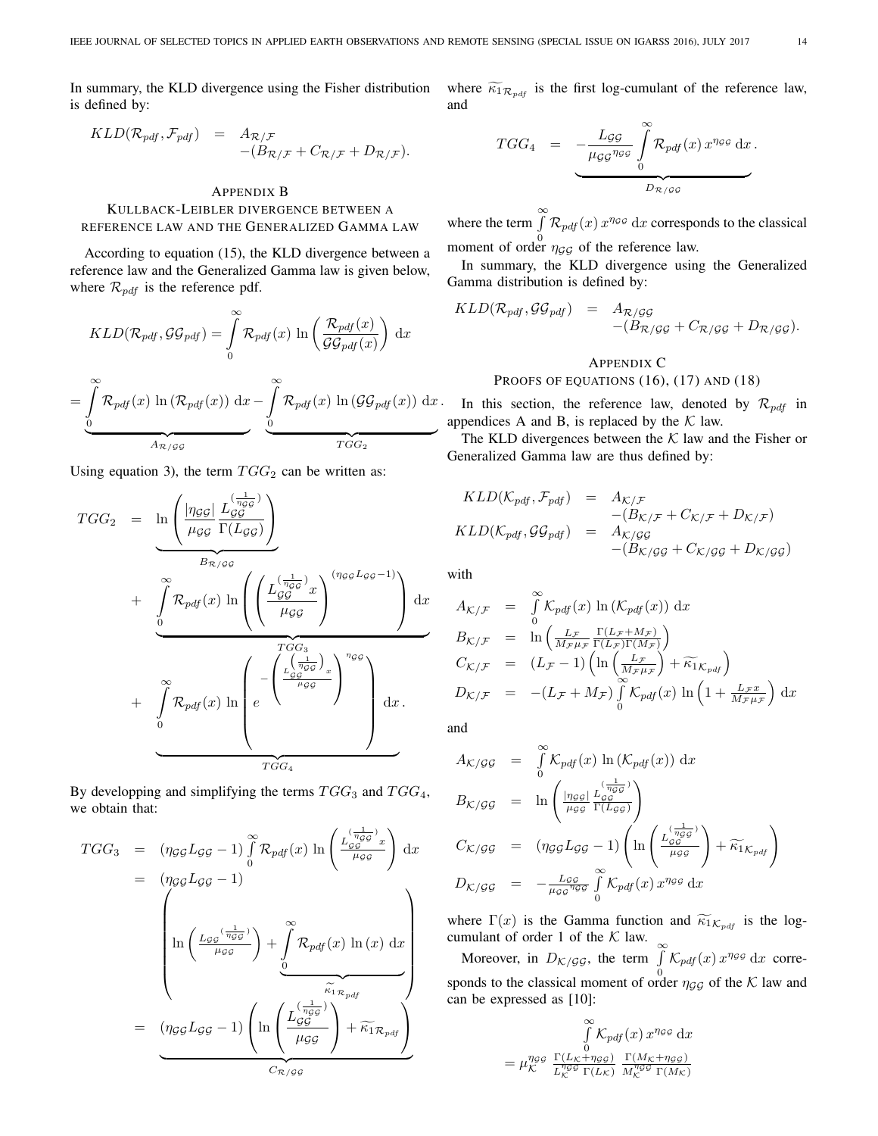In summary, the KLD divergence using the Fisher distribution is defined by:

$$
KLD(\mathcal{R}_{pdf}, \mathcal{F}_{pdf}) = A_{\mathcal{R}/\mathcal{F}} - (B_{\mathcal{R}/\mathcal{F}} + C_{\mathcal{R}/\mathcal{F}} + D_{\mathcal{R}/\mathcal{F}}).
$$

## APPENDIX B KULLBACK-LEIBLER DIVERGENCE BETWEEN A REFERENCE LAW AND THE GENERALIZED GAMMA LAW

According to equation (15), the KLD divergence between a reference law and the Generalized Gamma law is given below, where  $\mathcal{R}_{pdf}$  is the reference pdf.

$$
KLD(\mathcal{R}_{pdf}, \mathcal{GG}_{pdf}) = \int_{0}^{\infty} \mathcal{R}_{pdf}(x) \ln \left( \frac{\mathcal{R}_{pdf}(x)}{\mathcal{GG}_{pdf}(x)} \right) dx
$$

$$
= \int_{0}^{\infty} \mathcal{R}_{pdf}(x) \ln (\mathcal{R}_{pdf}(x)) dx - \int_{0}^{\infty} \mathcal{R}_{pdf}(x) \ln (\mathcal{GG}_{pdf}(x)) dx
$$

Using equation 3), the term  $TGG_2$  can be written as:

$$
TGG_2 = \ln\left(\frac{|\eta_{GG}|}{\mu_{GG}} \frac{L_{GG}^{(\frac{1}{\eta_{GG}})}}{\Gamma(L_{GG})}\right)
$$
  
+ 
$$
\int_{0}^{\infty} \mathcal{R}_{pdf}(x) \ln\left(\left(\frac{L_{GG}^{(\frac{1}{\eta_{GG}})}x}{\mu_{GG}}\right)^{(\eta_{GG}L_{GG}-1)}\right) dx
$$
  
+ 
$$
\int_{0}^{\infty} \mathcal{R}_{pdf}(x) \ln\left(e^{-\left(\frac{L_{GG}^{(\frac{1}{\eta_{GG}})}x}{\mu_{GG}}\right)^{\eta_{GG}}}\right)^{\eta_{GG}}
$$
  
+ 
$$
\int_{0}^{\infty} \mathcal{R}_{pdf}(x) \ln\left(e^{-\left(\frac{L_{GG}^{(\frac{1}{\eta_{GG}})}x}{\mu_{GG}}\right)^{\eta_{GG}}}\right) dx.
$$

By developping and simplifying the terms  $TGG_3$  and  $TGG_4$ , we obtain that:

$$
TGG_3 = (\eta_{GG} L_{GG} - 1) \int_0^{\infty} \mathcal{R}_{pdf}(x) \ln \left( \frac{L_{GG}^{(\frac{1}{\eta_{GG}})} x}{\mu_{GG}} \right) dx
$$
  
\n
$$
= (\eta_{GG} L_{GG} - 1)
$$
  
\n
$$
\ln \left( \frac{L_{GG}^{(\frac{1}{\eta_{GG}})}}{\mu_{GG}} \right) + \int_0^{\infty} \mathcal{R}_{pdf}(x) \ln (x) dx
$$
  
\n
$$
= (\eta_{GG} L_{GG} - 1) \left( \ln \left( \frac{L_{GG}^{(\frac{1}{\eta_{GG}})}}{\mu_{GG}} \right) + \widetilde{\kappa}_{1} \kappa_{pdf} \right)
$$
  
\n
$$
= C_{\mathcal{R}/gg}
$$

where  $\widetilde{\kappa}_{1\mathcal{R}_{pdf}}$  is the first log-cumulant of the reference law, and

$$
TGG_4 = -\frac{L_{GG}}{\underbrace{\mu_{GG}}_{\mu_{GG}} \int_{0}^{\infty} \mathcal{R}_{pdf}(x) x^{\eta_{GG}} dx}_{D_{\mathcal{R}/GG}}.
$$

where the term  $\int_0^\infty$  $\int_{0}^{\infty} \mathcal{R}_{pdf}(x) x^{\eta_{GG}} dx$  corresponds to the classical moment of order  $\eta_{GG}$  of the reference law.

In summary, the KLD divergence using the Generalized Gamma distribution is defined by:

$$
KLD(\mathcal{R}_{pdf},\mathcal{GG}_{pdf}) = A_{\mathcal{R}/\mathcal{GG}} + (B_{\mathcal{R}/\mathcal{GG}} + C_{\mathcal{R}/\mathcal{GG}} + D_{\mathcal{R}/\mathcal{GG}}).
$$

# APPENDIX C PROOFS OF EQUATIONS (16), (17) AND (18)

In this section, the reference law, denoted by  $\mathcal{R}_{pdf}$  in appendices A and B, is replaced by the  $K$  law.

The KLD divergences between the  $K$  law and the Fisher or Generalized Gamma law are thus defined by:

$$
KLD(K_{pdf}, \mathcal{F}_{pdf}) = A_{\mathcal{K}/\mathcal{F}}- (B_{\mathcal{K}/\mathcal{F}} + C_{\mathcal{K}/\mathcal{F}} + D_{\mathcal{K}/\mathcal{F}})KLD(K_{pdf}, \mathcal{GG}_{pdf}) = A_{\mathcal{K}/\mathcal{GG}}- (B_{\mathcal{K}/\mathcal{GG}} + C_{\mathcal{K}/\mathcal{GG}} + D_{\mathcal{K}/\mathcal{GG}})
$$

with

$$
A_{\mathcal{K}/\mathcal{F}} = \int_{0}^{\infty} \mathcal{K}_{pdf}(x) \ln(\mathcal{K}_{pdf}(x)) dx
$$
  
\n
$$
B_{\mathcal{K}/\mathcal{F}} = \ln\left(\frac{L_{\mathcal{F}}}{M_{\mathcal{F}}\mu_{\mathcal{F}}}\frac{\Gamma(L_{\mathcal{F}}+M_{\mathcal{F}})}{\Gamma(L_{\mathcal{F}})\Gamma(M_{\mathcal{F}})}\right)
$$
  
\n
$$
C_{\mathcal{K}/\mathcal{F}} = (L_{\mathcal{F}}-1)\left(\ln\left(\frac{L_{\mathcal{F}}}{M_{\mathcal{F}}\mu_{\mathcal{F}}}\right)+\widetilde{\kappa}_{1\mathcal{K}_{pdf}}\right)
$$
  
\n
$$
D_{\mathcal{K}/\mathcal{F}} = -(L_{\mathcal{F}}+M_{\mathcal{F}})\int_{0}^{\infty} \mathcal{K}_{pdf}(x) \ln\left(1+\frac{L_{\mathcal{F}}x}{M_{\mathcal{F}}\mu_{\mathcal{F}}}\right) dx
$$

and

$$
A_{\mathcal{K}/\mathcal{GG}} = \int_{0}^{\infty} \mathcal{K}_{pdf}(x) \ln(\mathcal{K}_{pdf}(x)) dx
$$
  
\n
$$
B_{\mathcal{K}/\mathcal{GG}} = \ln\left(\frac{|\eta_{GG}|}{\mu_{GG}} \frac{L_{gg}^{(\frac{1}{\eta_{GG}})}}{\Gamma(L_{gg})}\right)
$$
  
\n
$$
C_{\mathcal{K}/\mathcal{GG}} = (\eta_{GG} L_{\mathcal{GG}} - 1) \left(\ln\left(\frac{L_{gg}^{(\frac{1}{\eta_{GG}})}}{\mu_{\mathcal{GG}}}\right) + \widetilde{\kappa_{1}}_{\mathcal{K}_{pdf}}\right)
$$
  
\n
$$
D_{\mathcal{K}/\mathcal{GG}} = -\frac{L_{\mathcal{GG}}}{\mu_{\mathcal{GG}} \sigma_{\mathcal{GG}}} \int_{0}^{\infty} \mathcal{K}_{pdf}(x) x^{\eta_{GG}} dx
$$

where  $\Gamma(x)$  is the Gamma function and  $\widetilde{\kappa}_{1\mathcal{K}_{pdf}}$  is the logcumulant of order 1 of the  $K$  law.  $\infty$ 

Moreover, in  $D_{K/GG}$ , the term  $\int_{0}^{\infty} K_{pdf}(x) x^{\eta_{GG}} dx$  corresponds to the classical moment of order  $\eta_{GG}$  of the K law and can be expressed as [10]:

$$
\int_{0}^{\infty} \mathcal{K}_{pdf}(x) x^{\eta_{GG}} dx
$$
\n
$$
= \mu_{\mathcal{K}}^{\eta_{GG}} \frac{\Gamma(L_{\mathcal{K}} + \eta_{GG})}{L_{\mathcal{K}}^{\eta_{GG}} \Gamma(L_{\mathcal{K}})} \frac{\Gamma(M_{\mathcal{K}} + \eta_{GG})}{M_{\mathcal{K}}^{\eta_{GG}} \Gamma(M_{\mathcal{K}})}
$$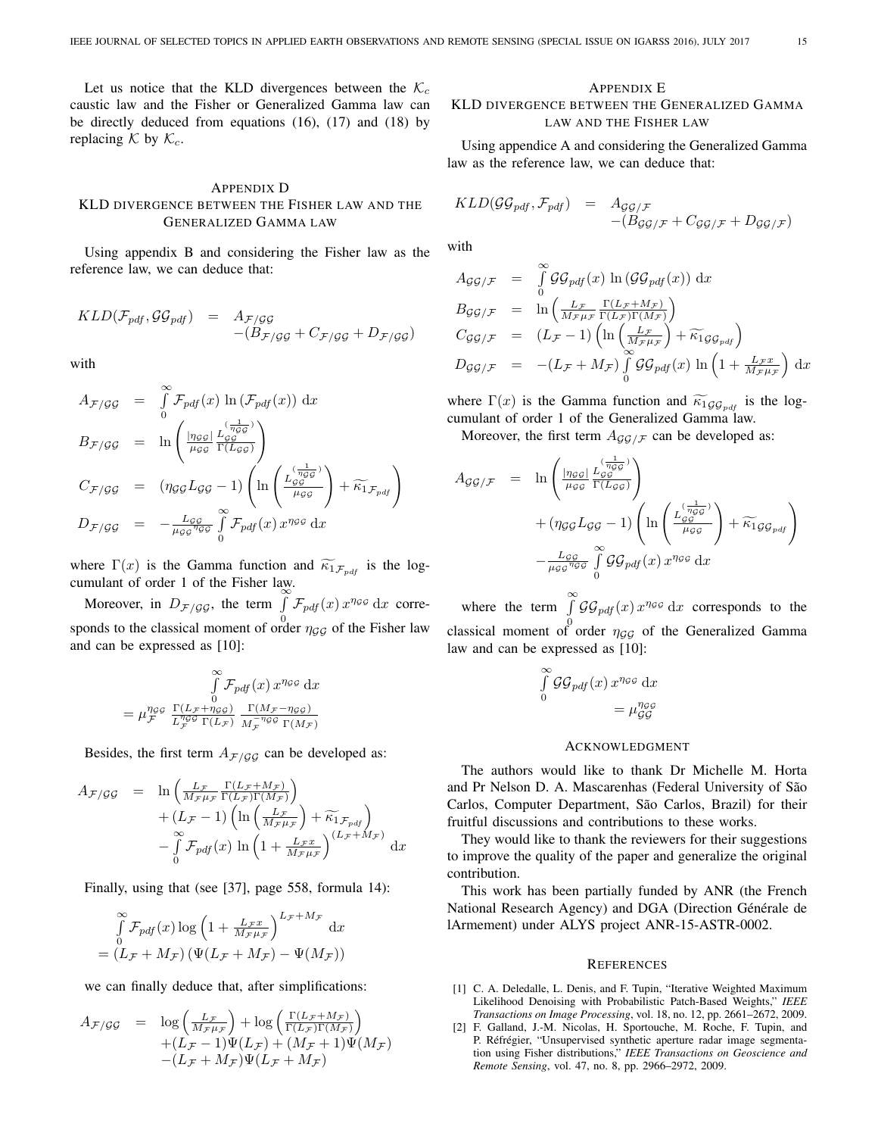Let us notice that the KLD divergences between the  $K_c$ caustic law and the Fisher or Generalized Gamma law can be directly deduced from equations (16), (17) and (18) by replacing  $K$  by  $K_c$ .

## APPENDIX D KLD DIVERGENCE BETWEEN THE FISHER LAW AND THE GENERALIZED GAMMA LAW

Using appendix B and considering the Fisher law as the reference law, we can deduce that:

$$
KLD(\mathcal{F}_{pdf}, \mathcal{GG}_{pdf}) = A_{\mathcal{F}/\mathcal{GG}} -(B_{\mathcal{F}/\mathcal{GG}} + C_{\mathcal{F}/\mathcal{GG}} + D_{\mathcal{F}/\mathcal{GG}})
$$

with

$$
A_{\mathcal{F}/\mathcal{G}\mathcal{G}} = \int_{0}^{\infty} \mathcal{F}_{pdf}(x) \ln(\mathcal{F}_{pdf}(x)) dx
$$
  
\n
$$
B_{\mathcal{F}/\mathcal{G}\mathcal{G}} = \ln \left( \frac{|\eta_{\mathcal{G}\mathcal{G}}|}{\mu_{\mathcal{G}\mathcal{G}}} \frac{L_{\mathcal{G}\mathcal{G}}^{(\frac{1}{\eta_{\mathcal{G}\mathcal{G}}})}}{\Gamma(L_{\mathcal{G}\mathcal{G}})} \right)
$$
  
\n
$$
C_{\mathcal{F}/\mathcal{G}\mathcal{G}} = (\eta_{\mathcal{G}\mathcal{G}} L_{\mathcal{G}\mathcal{G}} - 1) \left( \ln \left( \frac{L_{\mathcal{G}\mathcal{G}}^{(\frac{1}{\eta_{\mathcal{G}\mathcal{G}}})}}{\mu_{\mathcal{G}\mathcal{G}}} \right) + \widetilde{\kappa_{1}}_{\mathcal{F}_{pdf}} \right)
$$
  
\n
$$
D_{\mathcal{F}/\mathcal{G}\mathcal{G}} = -\frac{L_{\mathcal{G}\mathcal{G}}}{\mu_{\mathcal{G}\mathcal{G}} \pi_{\mathcal{G}\mathcal{G}}} \int_{0}^{\infty} \mathcal{F}_{pdf}(x) x^{\eta_{\mathcal{G}\mathcal{G}}} dx
$$

where  $\Gamma(x)$  is the Gamma function and  $\widetilde{\kappa}_{1,\mathcal{F}_{pdf}}$  is the log-

cumulant of order 1 of the Fisher law.<br>
Moreover, in  $D_{\mathcal{F}/GG}$ , the term  $\int_{0}^{\infty} \mathcal{F}_{pdf}(x) x^{\eta_{GG}} dx$  corresponds to the classical moment of order  $\eta_{GG}$  of the Fisher law and can be expressed as [10]:

$$
\int\limits_{0}^{\infty}\mathcal{F}_{pdf}(x)\,x^{\eta_{GG}}\,\mathrm{d}x
$$
\n
$$
=\mu_{\mathcal{F}}^{\eta_{GG}}\,\frac{\Gamma(L_{\mathcal{F}}+\eta_{GG})}{L_{\mathcal{F}}^{\eta_{GG}}\,\Gamma(L_{\mathcal{F}})}\,\frac{\Gamma(M_{\mathcal{F}}-\eta_{GG})}{M_{\mathcal{F}}^{-\eta_{GG}}\,\Gamma(M_{\mathcal{F}})}
$$

Besides, the first term  $A_{\mathcal{F}/\mathcal{G}\mathcal{G}}$  can be developed as:

$$
A_{\mathcal{F}/\mathcal{GG}} = \ln \left( \frac{L_{\mathcal{F}}}{M_{\mathcal{F}}\mu_{\mathcal{F}}} \frac{\Gamma(L_{\mathcal{F}} + M_{\mathcal{F}})}{\Gamma(L_{\mathcal{F}})\Gamma(M_{\mathcal{F}})} \right) + (L_{\mathcal{F}} - 1) \left( \ln \left( \frac{L_{\mathcal{F}}}{M_{\mathcal{F}}\mu_{\mathcal{F}}} \right) + \widetilde{\kappa}_{1} \mathcal{F}_{pdf} \right) - \int_{0}^{\infty} \mathcal{F}_{pdf}(x) \ln \left( 1 + \frac{L_{\mathcal{F}}x}{M_{\mathcal{F}}\mu_{\mathcal{F}}} \right)^{(L_{\mathcal{F}} + M_{\mathcal{F}})} dx
$$

Finally, using that (see [37], page 558, formula 14):

$$
\int_{0}^{\infty} \mathcal{F}_{pdf}(x) \log \left( 1 + \frac{L_{\mathcal{F}} x}{M_{\mathcal{F}} \mu_{\mathcal{F}}} \right)^{L_{\mathcal{F}} + M_{\mathcal{F}}} dx
$$

$$
= (L_{\mathcal{F}} + M_{\mathcal{F}}) \left( \Psi(L_{\mathcal{F}} + M_{\mathcal{F}}) - \Psi(M_{\mathcal{F}}) \right)
$$

we can finally deduce that, after simplifications:

$$
A_{\mathcal{F}/\mathcal{G}\mathcal{G}} = \log\left(\frac{L_{\mathcal{F}}}{M_{\mathcal{F}}\mu_{\mathcal{F}}}\right) + \log\left(\frac{\Gamma(L_{\mathcal{F}}+M_{\mathcal{F}})}{\Gamma(L_{\mathcal{F}})\Gamma(M_{\mathcal{F}})}\right) + (L_{\mathcal{F}} - 1)\Psi(L_{\mathcal{F}}) + (M_{\mathcal{F}} + 1)\Psi(M_{\mathcal{F}}) - (L_{\mathcal{F}} + M_{\mathcal{F}})\Psi(L_{\mathcal{F}} + M_{\mathcal{F}})
$$

## APPENDIX E

## KLD DIVERGENCE BETWEEN THE GENERALIZED GAMMA LAW AND THE FISHER LAW

Using appendice A and considering the Generalized Gamma law as the reference law, we can deduce that:

$$
KLD(\mathcal{GG}_{pdf}, \mathcal{F}_{pdf}) = A_{\mathcal{GG}/\mathcal{F}} - (B_{\mathcal{GG}/\mathcal{F}} + C_{\mathcal{GG}/\mathcal{F}} + D_{\mathcal{GG}/\mathcal{F}})
$$

with

$$
A_{\mathcal{G}\mathcal{G}/\mathcal{F}} = \int_{0}^{\infty} \mathcal{G}\mathcal{G}_{\mathit{pdf}}(x) \ln(\mathcal{G}\mathcal{G}_{\mathit{pdf}}(x)) dx
$$
  
\n
$$
B_{\mathcal{G}\mathcal{G}/\mathcal{F}} = \ln\left(\frac{L_{\mathcal{F}}}{M_{\mathcal{F}}\mu_{\mathcal{F}}}\frac{\Gamma(L_{\mathcal{F}}+M_{\mathcal{F}})}{\Gamma(L_{\mathcal{F}})\Gamma(M_{\mathcal{F}})}\right)
$$
  
\n
$$
C_{\mathcal{G}\mathcal{G}/\mathcal{F}} = (L_{\mathcal{F}} - 1)\left(\ln\left(\frac{L_{\mathcal{F}}}{M_{\mathcal{F}}\mu_{\mathcal{F}}}\right) + \widetilde{\kappa_{1}}_{\mathcal{G}\mathcal{G}_{\mathit{pdf}}}\right)
$$
  
\n
$$
D_{\mathcal{G}\mathcal{G}/\mathcal{F}} = -(L_{\mathcal{F}} + M_{\mathcal{F}})\int_{0}^{\infty} \mathcal{G}\mathcal{G}_{\mathit{pdf}}(x) \ln\left(1 + \frac{L_{\mathcal{F}}x}{M_{\mathcal{F}}\mu_{\mathcal{F}}}\right) dx
$$

where  $\Gamma(x)$  is the Gamma function and  $\widetilde{\kappa_1}_{\mathcal{GG}_{\text{pdf}}}$  is the logcumulant of order 1 of the Generalized Gamma law.

Moreover, the first term  $A_{GG/F}$  can be developed as:

$$
A_{\mathcal{GG}/\mathcal{F}} = \ln \left( \frac{\ln_{\mathcal{GG}} \left( \frac{1}{n_{\mathcal{GG}}} \right)}{\mu_{\mathcal{GG}}} \right) + (\eta_{\mathcal{GG}} L_{\mathcal{GG}}) \left( \ln \left( \frac{L_{\mathcal{GG}}^{(\frac{1}{n_{\mathcal{GG}}})}}{\mu_{\mathcal{GG}}} \right) + \widetilde{\kappa_{1}} \mathcal{GG}_{\mathit{pdf}} \right) - \frac{L_{\mathcal{GG}}}{\mu_{\mathcal{GG}} \sqrt[n]{\mathcal{GG}} \mathcal{GG}_{\mathit{pdf}}(x) x^{\eta_{\mathcal{GG}}} dx}
$$

where the term  $\int_{a}^{\infty} \mathcal{G} \mathcal{G}_{pdf}(x) x^{\eta_{\mathcal{G}} g} dx$  corresponds to the classical moment of order  $\eta_{GG}$  of the Generalized Gamma law and can be expressed as [10]:

$$
\int_{0}^{\infty} \mathcal{G} \mathcal{G}_{pdf}(x) x^{\eta g g} dx
$$

$$
= \mu_{\mathcal{G} \mathcal{G}}^{\eta g g}
$$

#### **ACKNOWLEDGMENT**

The authors would like to thank Dr Michelle M. Horta and Pr Nelson D. A. Mascarenhas (Federal University of São Carlos, Computer Department, São Carlos, Brazil) for their fruitful discussions and contributions to these works.

They would like to thank the reviewers for their suggestions to improve the quality of the paper and generalize the original contribution.

This work has been partially funded by ANR (the French National Research Agency) and DGA (Direction Générale de lArmement) under ALYS project ANR-15-ASTR-0002.

#### **REFERENCES**

- [1] C. A. Deledalle, L. Denis, and F. Tupin, "Iterative Weighted Maximum Likelihood Denoising with Probabilistic Patch-Based Weights," *IEEE Transactions on Image Processing*, vol. 18, no. 12, pp. 2661–2672, 2009.
- [2] F. Galland, J.-M. Nicolas, H. Sportouche, M. Roche, F. Tupin, and P. Réfrégier, "Unsupervised synthetic aperture radar image segmentation using Fisher distributions," *IEEE Transactions on Geoscience and Remote Sensing*, vol. 47, no. 8, pp. 2966–2972, 2009.